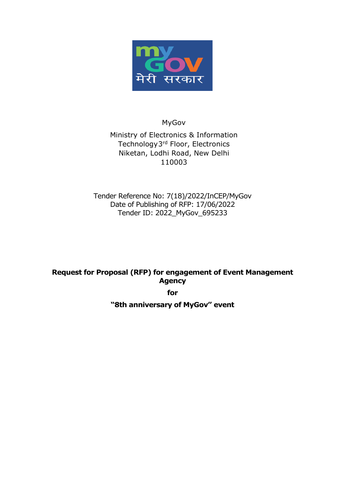

MyGov

Ministry of Electronics & Information Technology3 rd Floor, Electronics Niketan, Lodhi Road, New Delhi 110003

Tender Reference No: 7(18)/2022/InCEP/MyGov Date of Publishing of RFP: 17/06/2022 Tender ID: 2022\_MyGov\_695233

**Request for Proposal (RFP) for engagement of Event Management Agency**

**for**

**"8th anniversary of MyGov" event**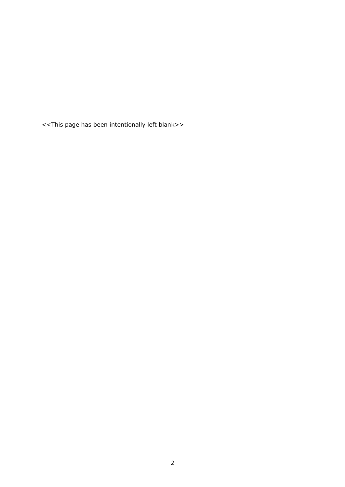<<This page has been intentionally left blank>>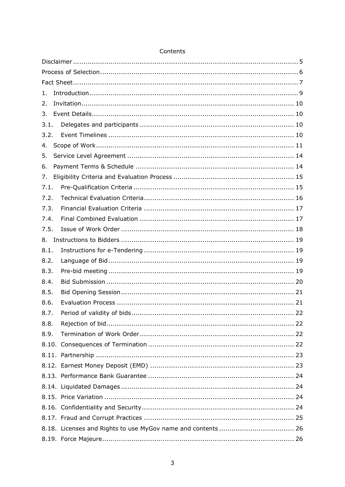| 1.   |  |
|------|--|
| 2.   |  |
| 3.   |  |
| 3.1. |  |
| 3.2. |  |
| 4.   |  |
| 5.   |  |
| 6.   |  |
| 7.   |  |
| 7.1. |  |
| 7.2. |  |
| 7.3. |  |
| 7.4. |  |
| 7.5. |  |
| 8.   |  |
| 8.1. |  |
| 8.2. |  |
| 8.3. |  |
| 8.4. |  |
| 8.5. |  |
| 8.6. |  |
| 8.7. |  |
| 8.8. |  |
| 8.9. |  |
|      |  |
|      |  |
|      |  |
|      |  |
|      |  |
|      |  |
|      |  |
|      |  |
|      |  |
|      |  |

# Contents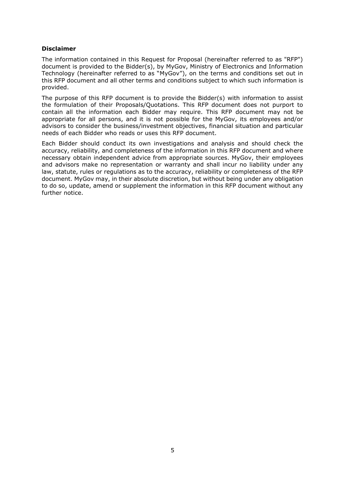#### <span id="page-4-0"></span>**Disclaimer**

The information contained in this Request for Proposal (hereinafter referred to as "RFP") document is provided to the Bidder(s), by MyGov, Ministry of Electronics and Information Technology (hereinafter referred to as "MyGov"), on the terms and conditions set out in this RFP document and all other terms and conditions subject to which such information is provided.

The purpose of this RFP document is to provide the Bidder(s) with information to assist the formulation of their Proposals/Quotations. This RFP document does not purport to contain all the information each Bidder may require. This RFP document may not be appropriate for all persons, and it is not possible for the MyGov, its employees and/or advisors to consider the business/investment objectives, financial situation and particular needs of each Bidder who reads or uses this RFP document.

Each Bidder should conduct its own investigations and analysis and should check the accuracy, reliability, and completeness of the information in this RFP document and where necessary obtain independent advice from appropriate sources. MyGov, their employees and advisors make no representation or warranty and shall incur no liability under any law, statute, rules or regulations as to the accuracy, reliability or completeness of the RFP document. MyGov may, in their absolute discretion, but without being under any obligation to do so, update, amend or supplement the information in this RFP document without any further notice.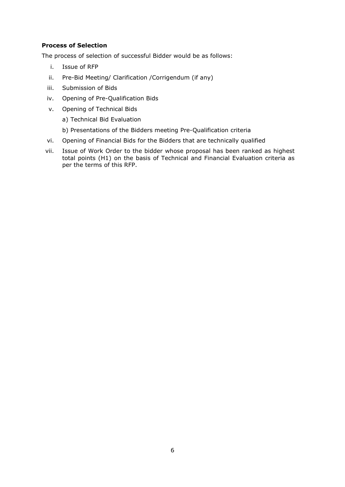### <span id="page-5-0"></span>**Process of Selection**

The process of selection of successful Bidder would be as follows:

- i. Issue of RFP
- ii. Pre-Bid Meeting/ Clarification /Corrigendum (if any)
- iii. Submission of Bids
- iv. Opening of Pre-Qualification Bids
- v. Opening of Technical Bids

a) Technical Bid Evaluation

- b) Presentations of the Bidders meeting Pre-Qualification criteria
- vi. Opening of Financial Bids for the Bidders that are technically qualified
- vii. Issue of Work Order to the bidder whose proposal has been ranked as highest total points (H1) on the basis of Technical and Financial Evaluation criteria as per the terms of this RFP.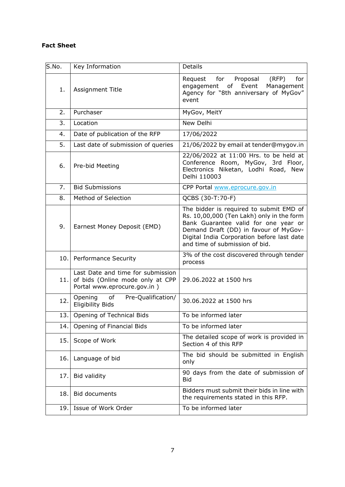# <span id="page-6-0"></span>**Fact Sheet**

| S.No. | Key Information                                                                                      | <b>Details</b>                                                                                                                                                                                                                                        |
|-------|------------------------------------------------------------------------------------------------------|-------------------------------------------------------------------------------------------------------------------------------------------------------------------------------------------------------------------------------------------------------|
| 1.    | Assignment Title                                                                                     | Request<br>for<br>Proposal<br>(RFP)<br>for<br>engagement of Event<br>Management<br>Agency for "8th anniversary of MyGov"<br>event                                                                                                                     |
| 2.    | Purchaser                                                                                            | MyGov, MeitY                                                                                                                                                                                                                                          |
| 3.    | Location                                                                                             | New Delhi                                                                                                                                                                                                                                             |
| 4.    | Date of publication of the RFP                                                                       | 17/06/2022                                                                                                                                                                                                                                            |
| 5.    | Last date of submission of queries                                                                   | 21/06/2022 by email at tender@mygov.in                                                                                                                                                                                                                |
| 6.    | Pre-bid Meeting                                                                                      | 22/06/2022 at 11:00 Hrs. to be held at<br>Conference Room, MyGov, 3rd Floor,<br>Electronics Niketan, Lodhi Road, New<br>Delhi 110003                                                                                                                  |
| 7.    | <b>Bid Submissions</b>                                                                               | CPP Portal www.eprocure.gov.in                                                                                                                                                                                                                        |
| 8.    | Method of Selection                                                                                  | QCBS (30-T:70-F)                                                                                                                                                                                                                                      |
| 9.    | Earnest Money Deposit (EMD)                                                                          | The bidder is required to submit EMD of<br>Rs. 10,00,000 (Ten Lakh) only in the form<br>Bank Guarantee valid for one year or<br>Demand Draft (DD) in favour of MyGov-<br>Digital India Corporation before last date<br>and time of submission of bid. |
| 10.1  | <b>Performance Security</b>                                                                          | 3% of the cost discovered through tender<br>process                                                                                                                                                                                                   |
| 11.   | Last Date and time for submission<br>of bids (Online mode only at CPP<br>Portal www.eprocure.gov.in) | 29.06.2022 at 1500 hrs                                                                                                                                                                                                                                |
| 12.   | Opening<br>of<br>Pre-Qualification/<br><b>Eligibility Bids</b>                                       | 30.06.2022 at 1500 hrs                                                                                                                                                                                                                                |
| 13.   | Opening of Technical Bids                                                                            | To be informed later                                                                                                                                                                                                                                  |
| 14.   | Opening of Financial Bids                                                                            | To be informed later                                                                                                                                                                                                                                  |
| 15.   | Scope of Work                                                                                        | The detailed scope of work is provided in<br>Section 4 of this RFP                                                                                                                                                                                    |
| 16.   | Language of bid                                                                                      | The bid should be submitted in English<br>only                                                                                                                                                                                                        |
| 17.   | Bid validity                                                                                         | 90 days from the date of submission of<br><b>Bid</b>                                                                                                                                                                                                  |
| 18.   | <b>Bid documents</b>                                                                                 | Bidders must submit their bids in line with<br>the requirements stated in this RFP.                                                                                                                                                                   |
| 19.   | Issue of Work Order                                                                                  | To be informed later                                                                                                                                                                                                                                  |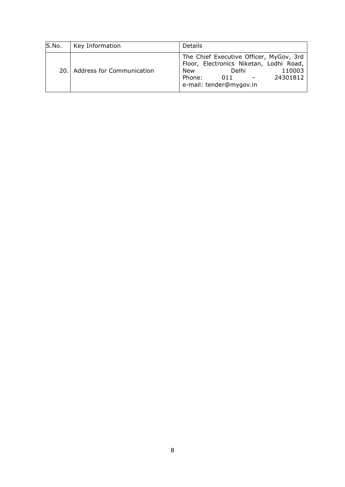| S.No. | Key Information               | <b>Details</b>                                                                                                                                                       |
|-------|-------------------------------|----------------------------------------------------------------------------------------------------------------------------------------------------------------------|
|       | 20. Address for Communication | The Chief Executive Officer, MyGov, 3rd<br>Floor, Electronics Niketan, Lodhi Road,<br>New<br>Delhi<br>110003<br>Phone:<br>24301812<br>011<br>e-mail: tender@mygov.in |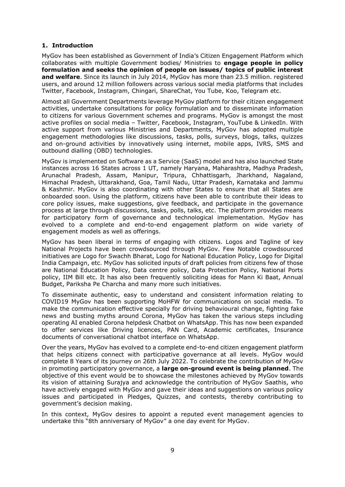### <span id="page-8-0"></span>**1. Introduction**

MyGov has been established as Government of India's Citizen Engagement Platform which collaborates with multiple Government bodies/ Ministries to **engage people in policy formulation and seeks the opinion of people on issues/ topics of public interest and welfare**. Since its launch in July 2014, MyGov has more than 23.5 million. registered users, and around 12 million followers across various social media platforms that includes Twitter, Facebook, Instagram, Chingari, ShareChat, You Tube, Koo, Telegram etc.

Almost all Government Departments leverage MyGov platform for their citizen engagement activities, undertake consultations for policy formulation and to disseminate information to citizens for various Government schemes and programs. MyGov is amongst the most active profiles on social media – Twitter, Facebook, Instagram, YouTube & LinkedIn. With active support from various Ministries and Departments, MyGov has adopted multiple engagement methodologies like discussions, tasks, polls, surveys, blogs, talks, quizzes and on-ground activities by innovatively using internet, mobile apps, IVRS, SMS and outbound dialling (OBD) technologies.

MyGov is implemented on Software as a Service (SaaS) model and has also launched State instances across 16 States across 1 UT, namely Haryana, Maharashtra, Madhya Pradesh, Arunachal Pradesh, Assam, Manipur, Tripura, Chhattisgarh, Jharkhand, Nagaland, Himachal Pradesh, Uttarakhand, Goa, Tamil Nadu, Uttar Pradesh, Karnataka and Jammu & Kashmir. MyGov is also coordinating with other States to ensure that all States are onboarded soon. Using the platform, citizens have been able to contribute their ideas to core policy issues, make suggestions, give feedback, and participate in the governance process at large through discussions, tasks, polls, talks, etc. The platform provides means for participatory form of governance and technological implementation. MyGov has evolved to a complete and end-to-end engagement platform on wide variety of engagement models as well as offerings.

MyGov has been liberal in terms of engaging with citizens. Logos and Tagline of key National Projects have been crowdsourced through MyGov. Few Notable crowdsourced initiatives are Logo for Swachh Bharat, Logo for National Education Policy, Logo for Digital India Campaign, etc. MyGov has solicited inputs of draft policies from citizens few of those are National Education Policy, Data centre policy, Data Protection Policy, National Ports policy, IIM Bill etc. It has also been frequently soliciting ideas for Mann Ki Baat, Annual Budget, Pariksha Pe Charcha and many more such initiatives.

To disseminate authentic, easy to understand and consistent information relating to COVID19 MyGov has been supporting MoHFW for communications on social media. To make the communication effective specially for driving behavioural change, fighting fake news and busting myths around Corona, MyGov has taken the various steps including operating AI enabled Corona helpdesk Chatbot on WhatsApp. This has now been expanded to offer services like Driving licences, PAN Card, Academic certificates, Insurance documents of conversational chatbot interface on WhatsApp.

Over the years, MyGov has evolved to a complete end-to-end citizen engagement platform that helps citizens connect with participative governance at all levels. MyGov would complete 8 Years of its journey on 26th July 2022. To celebrate the contribution of MyGov in promoting participatory governance, a **large on-ground event is being planned**. The objective of this event would be to showcase the milestones achieved by MyGov towards its vision of attaining Surajya and acknowledge the contribution of MyGov Saathis, who have actively engaged with MyGov and gave their ideas and suggestions on various policy issues and participated in Pledges, Quizzes, and contests, thereby contributing to government's decision making.

In this context, MyGov desires to appoint a reputed event management agencies to undertake this "8th anniversary of MyGov" a one day event for MyGov.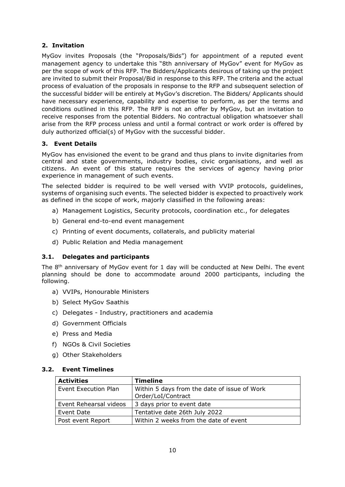# <span id="page-9-0"></span>**2. Invitation**

MyGov invites Proposals (the "Proposals/Bids") for appointment of a reputed event management agency to undertake this "8th anniversary of MyGov" event for MyGov as per the scope of work of this RFP. The Bidders/Applicants desirous of taking up the project are invited to submit their Proposal/Bid in response to this RFP. The criteria and the actual process of evaluation of the proposals in response to the RFP and subsequent selection of the successful bidder will be entirely at MyGov's discretion. The Bidders/ Applicants should have necessary experience, capability and expertise to perform, as per the terms and conditions outlined in this RFP. The RFP is not an offer by MyGov, but an invitation to receive responses from the potential Bidders. No contractual obligation whatsoever shall arise from the RFP process unless and until a formal contract or work order is offered by duly authorized official(s) of MyGov with the successful bidder.

### <span id="page-9-1"></span>**3. Event Details**

MyGov has envisioned the event to be grand and thus plans to invite dignitaries from central and state governments, industry bodies, civic organisations, and well as citizens. An event of this stature requires the services of agency having prior experience in management of such events.

The selected bidder is required to be well versed with VVIP protocols, guidelines, systems of organising such events. The selected bidder is expected to proactively work as defined in the scope of work, majorly classified in the following areas:

- a) Management Logistics, Security protocols, coordination etc., for delegates
- b) General end-to-end event management
- c) Printing of event documents, collaterals, and publicity material
- <span id="page-9-2"></span>d) Public Relation and Media management

### **3.1. Delegates and participants**

The 8<sup>th</sup> anniversary of MyGov event for 1 day will be conducted at New Delhi. The event planning should be done to accommodate around 2000 participants, including the following.

- a) VVIPs, Honourable Ministers
- b) Select MyGov Saathis
- c) Delegates Industry, practitioners and academia
- d) Government Officials
- e) Press and Media
- f) NGOs & Civil Societies
- g) Other Stakeholders

#### <span id="page-9-3"></span>**3.2. Event Timelines**

| <b>Activities</b>      | <b>Timeline</b>                              |
|------------------------|----------------------------------------------|
| Event Execution Plan   | Within 5 days from the date of issue of Work |
|                        | Order/LoI/Contract                           |
| Event Rehearsal videos | 3 days prior to event date                   |
| Event Date             | Tentative date 26th July 2022                |
| Post event Report      | Within 2 weeks from the date of event        |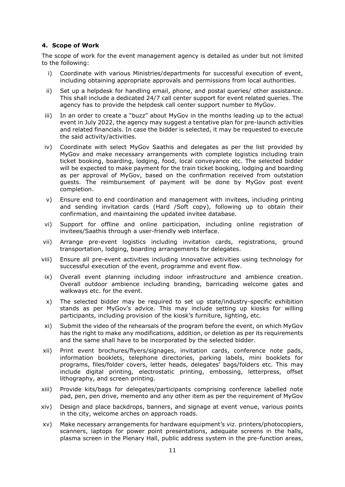#### <span id="page-10-0"></span>**4. Scope of Work**

The scope of work for the event management agency is detailed as under but not limited to the following:

- i) Coordinate with various Ministries/departments for successful execution of event, including obtaining appropriate approvals and permissions from local authorities.
- ii) Set up a helpdesk for handling email, phone, and postal queries/ other assistance. This shall include a dedicated 24/7 call center support for event related queries. The agency has to provide the helpdesk call center support number to MyGov.
- iii) In an order to create a "buzz" about MyGov in the months leading up to the actual event in July 2022, the agency may suggest a tentative plan for pre-launch activities and related financials. In case the bidder is selected, it may be requested to execute the said activity/activities.
- iv) Coordinate with select MyGov Saathis and delegates as per the list provided by MyGov and make necessary arrangements with complete logistics including train ticket booking, boarding, lodging, food, local conveyance etc. The selected bidder will be expected to make payment for the train ticket booking, lodging and boarding as per approval of MyGov, based on the confirmation received from outstation guests. The reimbursement of payment will be done by MyGov post event completion.
- v) Ensure end to end coordination and management with invitees, including printing and sending invitation cards (Hard /Soft copy), following up to obtain their confirmation, and maintaining the updated invitee database.
- vi) Support for offline and online participation, including online registration of invitees/Saathis through a user-friendly web interface.
- vii) Arrange pre-event logistics including invitation cards, registrations, ground transportation, lodging, boarding arrangements for delegates.
- viii) Ensure all pre-event activities including innovative activities using technology for successful execution of the event, programme and event flow.
- ix) Overall event planning including indoor infrastructure and ambience creation. Overall outdoor ambience including branding, barricading welcome gates and walkways etc. for the event.
- x) The selected bidder may be required to set up state/industry-specific exhibition stands as per MyGov's advice. This may include setting up kiosks for willing participants, including provision of the kiosk's furniture, lighting, etc.
- xi) Submit the video of the rehearsals of the program before the event, on which MyGov has the right to make any modifications, addition, or deletion as per its requirements and the same shall have to be incorporated by the selected bidder.
- xii) Print event brochures/flyers/signages, invitation cards, conference note pads, information booklets, telephone directories, parking labels, mini booklets for programs, files/folder covers, letter heads, delegates' bags/folders etc. This may include digital printing, electrostatic printing, embossing, letterpress, offset lithography, and screen printing.
- xiii) Provide kits/bags for delegates/participants comprising conference labelled note pad, pen, pen drive, memento and any other item as per the requirement of MyGov
- xiv) Design and place backdrops, banners, and signage at event venue, various points in the city, welcome arches on approach roads.
- xv) Make necessary arrangements for hardware equipment's viz. printers/photocopiers, scanners, laptops for power point presentations, adequate screens in the halls, plasma screen in the Plenary Hall, public address system in the pre-function areas,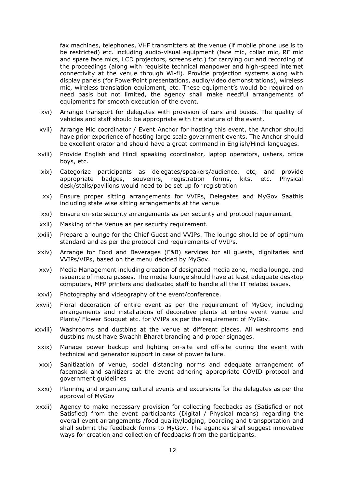fax machines, telephones, VHF transmitters at the venue (if mobile phone use is to be restricted) etc. including audio-visual equipment (face mic, collar mic, RF mic and spare face mics, LCD projectors, screens etc.) for carrying out and recording of the proceedings (along with requisite technical manpower and high-speed internet connectivity at the venue through Wi-fi). Provide projection systems along with display panels (for PowerPoint presentations, audio/video demonstrations), wireless mic, wireless translation equipment, etc. These equipment's would be required on need basis but not limited, the agency shall make needful arrangements of equipment's for smooth execution of the event.

- xvi) Arrange transport for delegates with provision of cars and buses. The quality of vehicles and staff should be appropriate with the stature of the event.
- xvii) Arrange Mic coordinator / Event Anchor for hosting this event, the Anchor should have prior experience of hosting large scale government events. The Anchor should be excellent orator and should have a great command in English/Hindi languages.
- xviii) Provide English and Hindi speaking coordinator, laptop operators, ushers, office boys, etc.
- xix) Categorize participants as delegates/speakers/audience, etc, and provide appropriate badges, souvenirs, registration forms, kits, etc. Physical desk/stalls/pavilions would need to be set up for registration
- xx) Ensure proper sitting arrangements for VVIPs, Delegates and MyGov Saathis including state wise sitting arrangements at the venue
- xxi) Ensure on-site security arrangements as per security and protocol requirement.
- xxii) Masking of the Venue as per security requirement.
- xxiii) Prepare a lounge for the Chief Guest and VVIPs. The lounge should be of optimum standard and as per the protocol and requirements of VVIPs.
- xxiv) Arrange for Food and Beverages (F&B) services for all guests, dignitaries and VVIPs/VIPs, based on the menu decided by MyGov.
- xxv) Media Management including creation of designated media zone, media lounge, and issuance of media passes. The media lounge should have at least adequate desktop computers, MFP printers and dedicated staff to handle all the IT related issues.
- xxvi) Photography and videography of the event/conference.
- xxvii) Floral decoration of entire event as per the requirement of MyGov, including arrangements and installations of decorative plants at entire event venue and Plants/ Flower Bouquet etc. for VVIPs as per the requirement of MyGov.
- xxviii) Washrooms and dustbins at the venue at different places. All washrooms and dustbins must have Swachh Bharat branding and proper signages.
- xxix) Manage power backup and lighting on-site and off-site during the event with technical and generator support in case of power failure.
- xxx) Sanitization of venue, social distancing norms and adequate arrangement of facemask and sanitizers at the event adhering appropriate COVID protocol and government guidelines
- xxxi) Planning and organizing cultural events and excursions for the delegates as per the approval of MyGov
- xxxii) Agency to make necessary provision for collecting feedbacks as (Satisfied or not Satisfied) from the event participants (Digital / Physical means) regarding the overall event arrangements /food quality/lodging, boarding and transportation and shall submit the feedback forms to MyGov. The agencies shall suggest innovative ways for creation and collection of feedbacks from the participants.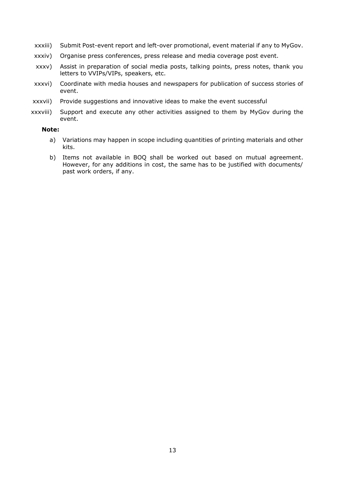- xxxiii) Submit Post-event report and left-over promotional, event material if any to MyGov.
- xxxiv) Organise press conferences, press release and media coverage post event.
- xxxv) Assist in preparation of social media posts, talking points, press notes, thank you letters to VVIPs/VIPs, speakers, etc.
- xxxvi) Coordinate with media houses and newspapers for publication of success stories of event.
- xxxvii) Provide suggestions and innovative ideas to make the event successful
- xxxviii) Support and execute any other activities assigned to them by MyGov during the event.

#### **Note:**

- a) Variations may happen in scope including quantities of printing materials and other kits.
- b) Items not available in BOQ shall be worked out based on mutual agreement. However, for any additions in cost, the same has to be justified with documents/ past work orders, if any.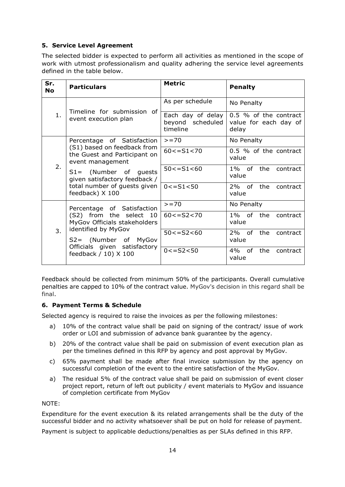# <span id="page-13-0"></span>**5. Service Level Agreement**

The selected bidder is expected to perform all activities as mentioned in the scope of work with utmost professionalism and quality adhering the service level agreements defined in the table below.

| Sr.<br><b>No</b> | <b>Particulars</b>                                                                                          | <b>Metric</b>                                     | <b>Penalty</b>                                          |
|------------------|-------------------------------------------------------------------------------------------------------------|---------------------------------------------------|---------------------------------------------------------|
|                  | Timeline for submission of<br>event execution plan                                                          | As per schedule                                   | No Penalty                                              |
| 1.               |                                                                                                             | Each day of delay<br>beyond scheduled<br>timeline | 0.5 % of the contract<br>value for each day of<br>delay |
|                  | Percentage of Satisfaction                                                                                  | $>= 70$                                           | No Penalty                                              |
|                  | (S1) based on feedback from<br>the Guest and Participant on<br>event management                             | $60 < = S1 < 70$                                  | 0.5 % of the contract<br>value                          |
| 2.               | $S1=$ (Number of guests<br>given satisfactory feedback /<br>total number of guests given<br>feedback) X 100 | $50 \leq S1 \leq 60$                              | 1% of the<br>contract<br>value                          |
|                  |                                                                                                             | $0 < = S1 < 50$                                   | the<br>2% of<br>contract<br>value                       |
|                  | Percentage of Satisfaction                                                                                  | $>= 70$                                           | No Penalty                                              |
|                  | (S2) from the select 10<br>MyGov Officials stakeholders                                                     | $60 < = S2 < 70$                                  | 1% of the contract<br>value                             |
| 3.               | identified by MyGov<br>S2= (Number of MyGov                                                                 | $50 < = S2 < 60$                                  | 2% of<br>the<br>contract<br>value                       |
|                  | Officials given satisfactory<br>feedback / 10) X 100                                                        | $0 < = S2 < 50$                                   | $4\%$ of<br>the<br>contract<br>value                    |

Feedback should be collected from minimum 50% of the participants. Overall cumulative penalties are capped to 10% of the contract value. MyGov's decision in this regard shall be final.

### <span id="page-13-1"></span>**6. Payment Terms & Schedule**

Selected agency is required to raise the invoices as per the following milestones:

- a) 10% of the contract value shall be paid on signing of the contract/ issue of work order or LOI and submission of advance bank guarantee by the agency.
- b) 20% of the contract value shall be paid on submission of event execution plan as per the timelines defined in this RFP by agency and post approval by MyGov.
- c) 65% payment shall be made after final invoice submission by the agency on successful completion of the event to the entire satisfaction of the MyGov.
- a) The residual 5% of the contract value shall be paid on submission of event closer project report, return of left out publicity / event materials to MyGov and issuance of completion certificate from MyGov

NOTE:

Expenditure for the event execution & its related arrangements shall be the duty of the successful bidder and no activity whatsoever shall be put on hold for release of payment.

Payment is subject to applicable deductions/penalties as per SLAs defined in this RFP.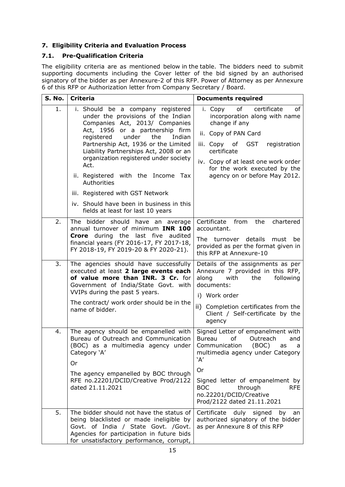# <span id="page-14-0"></span>**7. Eligibility Criteria and Evaluation Process**

# <span id="page-14-1"></span>**7.1. Pre-Qualification Criteria**

The eligibility criteria are as mentioned below in the table. The bidders need to submit supporting documents including the Cover letter of the bid signed by an authorised signatory of the bidder as per Annexure-2 of this RFP. Power of Attorney as per Annexure 6 of this RFP or Authorization letter from Company Secretary / Board.

| <b>S. No.</b> | <b>Criteria</b>                                                                                                                                                                                                                                                        | <b>Documents required</b>                                                                                                                                             |  |
|---------------|------------------------------------------------------------------------------------------------------------------------------------------------------------------------------------------------------------------------------------------------------------------------|-----------------------------------------------------------------------------------------------------------------------------------------------------------------------|--|
| 1.            | i. Should be a company registered<br>under the provisions of the Indian<br>Companies Act, 2013/ Companies<br>Act, 1956 or a partnership firm<br>under<br>registered<br>the<br>Indian<br>Partnership Act, 1936 or the Limited<br>Liability Partnerships Act, 2008 or an | of<br>certificate<br>оf<br>i. Copy<br>incorporation along with name<br>change if any<br>ii. Copy of PAN Card<br>registration<br>iii. Copy<br>of<br>GST<br>certificate |  |
|               | organization registered under society<br>Act.<br>ii. Registered with the Income Tax                                                                                                                                                                                    | iv. Copy of at least one work order<br>for the work executed by the<br>agency on or before May 2012.                                                                  |  |
|               | Authorities                                                                                                                                                                                                                                                            |                                                                                                                                                                       |  |
|               | iii. Registered with GST Network                                                                                                                                                                                                                                       |                                                                                                                                                                       |  |
|               | iv. Should have been in business in this<br>fields at least for last 10 years                                                                                                                                                                                          |                                                                                                                                                                       |  |
| 2.            | The bidder should have an average<br>annual turnover of minimum INR 100                                                                                                                                                                                                | Certificate<br>from<br>the<br>chartered<br>accountant.                                                                                                                |  |
|               | Crore during the last five audited<br>financial years (FY 2016-17, FY 2017-18,<br>FY 2018-19, FY 2019-20 & FY 2020-21).                                                                                                                                                | The turnover details<br>must<br>be<br>provided as per the format given in<br>this RFP at Annexure-10                                                                  |  |
| 3.            | The agencies should have successfully<br>executed at least 2 large events each<br>of value more than INR. 3 Cr. for<br>Government of India/State Govt. with<br>VVIPs during the past 5 years.                                                                          | Details of the assignments as per<br>Annexure 7 provided in this RFP,<br>along<br>with<br>following<br>the<br>documents:<br>i) Work order                             |  |
|               | The contract/ work order should be in the<br>name of bidder.                                                                                                                                                                                                           | ii) Completion certificates from the<br>Client / Self-certificate by the<br>agency                                                                                    |  |
| 4.            | The agency should be empanelled with<br>Bureau of Outreach and Communication<br>(BOC) as a multimedia agency under<br>Category 'A'                                                                                                                                     | Signed Letter of empanelment with<br><b>Bureau</b><br>Outreach<br>of<br>and<br>Communication<br>(BOC)<br>as<br>a<br>multimedia agency under Category<br>'A'           |  |
|               | Or<br>The agency empanelled by BOC through                                                                                                                                                                                                                             | Or                                                                                                                                                                    |  |
|               | RFE no.22201/DCID/Creative Prod/2122<br>dated 21.11.2021                                                                                                                                                                                                               | Signed letter of empanelment by<br><b>BOC</b><br>through<br><b>RFE</b><br>no.22201/DCID/Creative<br>Prod/2122 dated 21.11.2021                                        |  |
| 5.            | The bidder should not have the status of<br>being blacklisted or made ineligible by<br>Govt. of India / State Govt. / Govt.<br>Agencies for participation in future bids<br>for unsatisfactory performance, corrupt,                                                   | Certificate<br>duly signed<br>by<br>an<br>authorized signatory of the bidder<br>as per Annexure 8 of this RFP                                                         |  |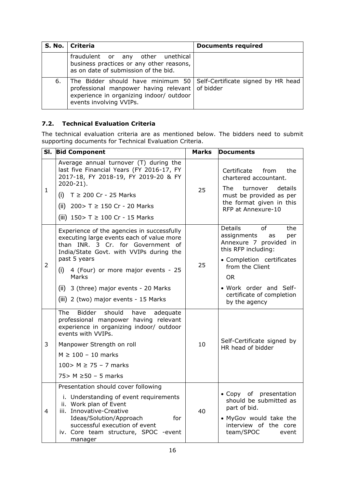|    | S. No.   Criteria                                                                                                                                                                              | <b>Documents required</b> |
|----|------------------------------------------------------------------------------------------------------------------------------------------------------------------------------------------------|---------------------------|
|    | fraudulent or any other unethical<br>business practices or any other reasons,<br>as on date of submission of the bid.                                                                          |                           |
| 6. | The Bidder should have minimum 50 Self-Certificate signed by HR head<br>professional manpower having relevant of bidder<br>experience in organizing indoor/ outdoor<br>events involving VVIPs. |                           |

# <span id="page-15-0"></span>**7.2. Technical Evaluation Criteria**

The technical evaluation criteria are as mentioned below. The bidders need to submit supporting documents for Technical Evaluation Criteria.

| SI.            | <b>Bid Component</b>                                                                                                                                                                                                                                                                                                                   | <b>Marks</b> | Documents                                                                                                                                                                                                                                     |
|----------------|----------------------------------------------------------------------------------------------------------------------------------------------------------------------------------------------------------------------------------------------------------------------------------------------------------------------------------------|--------------|-----------------------------------------------------------------------------------------------------------------------------------------------------------------------------------------------------------------------------------------------|
| $\mathbf{1}$   | Average annual turnover (T) during the<br>last five Financial Years (FY 2016-17, FY<br>2017-18, FY 2018-19, FY 2019-20 & FY<br>$2020 - 21$ ).<br>(i) $T \ge 200$ Cr - 25 Marks<br>(ii) $200 > T \ge 150$ Cr - 20 Marks<br>(iii) $150 > T ≥ 100$ Cr - 15 Marks                                                                          | 25           | from<br>the<br>Certificate<br>chartered accountant.<br>The<br>turnover<br>details<br>must be provided as per<br>the format given in this<br>RFP at Annexure-10                                                                                |
| $\overline{2}$ | Experience of the agencies in successfully<br>executing large events each of value more<br>than INR. 3 Cr. for Government of<br>India/State Govt. with VVIPs during the<br>past 5 years<br>$(i)$ 4 (Four) or more major events - 25<br><b>Marks</b><br>(ii) 3 (three) major events - 20 Marks<br>(iii) 2 (two) major events - 15 Marks | 25           | <b>Details</b><br>of<br>the<br>assignments<br>per<br>as<br>Annexure 7 provided in<br>this RFP including:<br>· Completion certificates<br>from the Client<br><b>OR</b><br>. Work order and Self-<br>certificate of completion<br>by the agency |
| 3              | Bidder<br>should<br><b>The</b><br>have<br>adequate<br>professional manpower having relevant<br>experience in organizing indoor/ outdoor<br>events with VVIPs.<br>Manpower Strength on roll<br>$M \geq 100 - 10$ marks<br>100 > $M \ge 75 - 7$ marks<br>75 > $M \ge 50 - 5$ marks                                                       | 10           | Self-Certificate signed by<br>HR head of bidder                                                                                                                                                                                               |
| 4              | Presentation should cover following<br>i. Understanding of event requirements<br>ii. Work plan of Event<br>iii. Innovative-Creative<br>Ideas/Solution/Approach<br>for<br>successful execution of event<br>iv. Core team structure, SPOC -event<br>manager                                                                              | 40           | • Copy of presentation<br>should be submitted as<br>part of bid.<br>• MyGov would take the<br>interview of the core<br>team/SPOC<br>event                                                                                                     |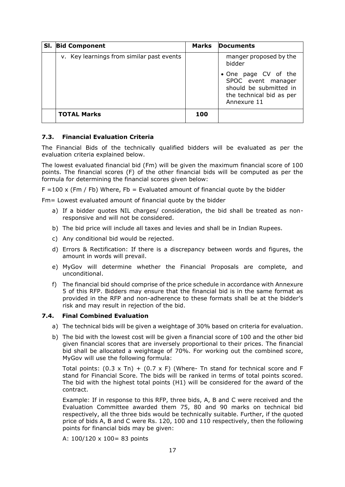| SI. Bid Component                         | Marks | <b>Documents</b>                                                                                                |
|-------------------------------------------|-------|-----------------------------------------------------------------------------------------------------------------|
| v. Key learnings from similar past events |       | manger proposed by the<br>bidder                                                                                |
|                                           |       | • One page CV of the<br>SPOC event manager<br>should be submitted in<br>the technical bid as per<br>Annexure 11 |
| <b>TOTAL Marks</b>                        | 100   |                                                                                                                 |

#### <span id="page-16-0"></span>**7.3. Financial Evaluation Criteria**

The Financial Bids of the technically qualified bidders will be evaluated as per the evaluation criteria explained below.

The lowest evaluated financial bid (Fm) will be given the maximum financial score of 100 points. The financial scores (F) of the other financial bids will be computed as per the formula for determining the financial scores given below:

 $F = 100 \times (Fm / Fb)$  Where, Fb = Evaluated amount of financial quote by the bidder

Fm= Lowest evaluated amount of financial quote by the bidder

- a) If a bidder quotes NIL charges/ consideration, the bid shall be treated as nonresponsive and will not be considered.
- b) The bid price will include all taxes and levies and shall be in Indian Rupees.
- c) Any conditional bid would be rejected.
- d) Errors & Rectification: If there is a discrepancy between words and figures, the amount in words will prevail.
- e) MyGov will determine whether the Financial Proposals are complete, and unconditional.
- f) The financial bid should comprise of the price schedule in accordance with Annexure 5 of this RFP. Bidders may ensure that the financial bid is in the same format as provided in the RFP and non-adherence to these formats shall be at the bidder's risk and may result in rejection of the bid.

#### <span id="page-16-1"></span>**7.4. Final Combined Evaluation**

- a) The technical bids will be given a weightage of 30% based on criteria for evaluation.
- b) The bid with the lowest cost will be given a financial score of 100 and the other bid given financial scores that are inversely proportional to their prices. The financial bid shall be allocated a weightage of 70%. For working out the combined score, MyGov will use the following formula:

Total points:  $(0.3 \times Tn) + (0.7 \times F)$  (Where- Tn stand for technical score and F stand for Financial Score. The bids will be ranked in terms of total points scored. The bid with the highest total points (H1) will be considered for the award of the contract.

Example: If in response to this RFP, three bids, A, B and C were received and the Evaluation Committee awarded them 75, 80 and 90 marks on technical bid respectively, all the three bids would be technically suitable. Further, if the quoted price of bids A, B and C were Rs. 120, 100 and 110 respectively, then the following points for financial bids may be given:

A: 100/120 x 100= 83 points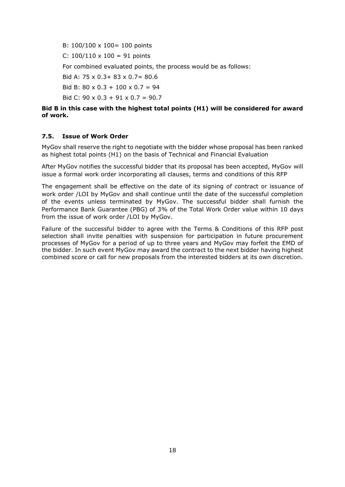B: 100/100 x 100= 100 points C:  $100/110 \times 100 = 91$  points For combined evaluated points, the process would be as follows: Bid A: 75 x 0.3+ 83 x 0.7= 80.6 Bid B:  $80 \times 0.3 + 100 \times 0.7 = 94$ Bid C: 90 x 0.3 + 91 x 0.7 = 90.7

### **Bid B in this case with the highest total points (H1) will be considered for award of work.**

### <span id="page-17-0"></span>**7.5. Issue of Work Order**

MyGov shall reserve the right to negotiate with the bidder whose proposal has been ranked as highest total points (H1) on the basis of Technical and Financial Evaluation

After MyGov notifies the successful bidder that its proposal has been accepted, MyGov will issue a formal work order incorporating all clauses, terms and conditions of this RFP

The engagement shall be effective on the date of its signing of contract or issuance of work order /LOI by MyGov and shall continue until the date of the successful completion of the events unless terminated by MyGov. The successful bidder shall furnish the Performance Bank Guarantee (PBG) of 3% of the Total Work Order value within 10 days from the issue of work order /LOI by MyGov.

Failure of the successful bidder to agree with the Terms & Conditions of this RFP post selection shall invite penalties with suspension for participation in future procurement processes of MyGov for a period of up to three years and MyGov may forfeit the EMD of the bidder. In such event MyGov may award the contract to the next bidder having highest combined score or call for new proposals from the interested bidders at its own discretion.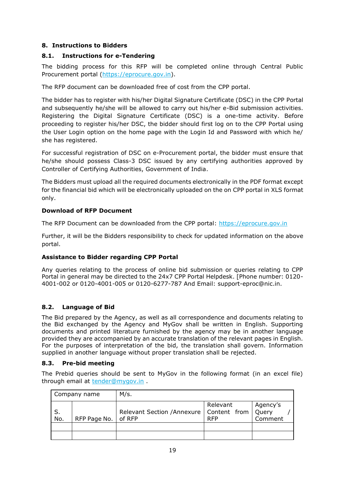# <span id="page-18-0"></span>**8. Instructions to Bidders**

## <span id="page-18-1"></span>**8.1. Instructions for e-Tendering**

The bidding process for this RFP will be completed online through Central Public Procurement portal [\(https://eprocure.gov.in\)](https://eprocure.gov.in/).

The RFP document can be downloaded free of cost from the CPP portal.

The bidder has to register with his/her Digital Signature Certificate (DSC) in the CPP Portal and subsequently he/she will be allowed to carry out his/her e-Bid submission activities. Registering the Digital Signature Certificate (DSC) is a one-time activity. Before proceeding to register his/her DSC, the bidder should first log on to the CPP Portal using the User Login option on the home page with the Login Id and Password with which he/ she has registered.

For successful registration of DSC on e-Procurement portal, the bidder must ensure that he/she should possess Class-3 DSC issued by any certifying authorities approved by Controller of Certifying Authorities, Government of India.

The Bidders must upload all the required documents electronically in the PDF format except for the financial bid which will be electronically uploaded on the on CPP portal in XLS format only.

# **Download of RFP Document**

The RFP Document can be downloaded from the CPP portal: [https://eprocure.gov.in](https://eprocure.gov.in/) 

Further, it will be the Bidders responsibility to check for updated information on the above portal.

### **Assistance to Bidder regarding CPP Portal**

Any queries relating to the process of online bid submission or queries relating to CPP Portal in general may be directed to the 24x7 CPP Portal Helpdesk. [Phone number: 0120- 4001-002 or 0120-4001-005 or 0120-6277-787 And Email: [support-eproc@nic.in.](mailto:support-eproc@nic.in)

### <span id="page-18-2"></span>**8.2. Language of Bid**

The Bid prepared by the Agency, as well as all correspondence and documents relating to the Bid exchanged by the Agency and MyGov shall be written in English. Supporting documents and printed literature furnished by the agency may be in another language provided they are accompanied by an accurate translation of the relevant pages in English. For the purposes of interpretation of the bid, the translation shall govern. Information supplied in another language without proper translation shall be rejected.

### <span id="page-18-3"></span>**8.3. Pre-bid meeting**

The Prebid queries should be sent to MyGov in the following format (in an excel file) through email at [tender@mygov.in](mailto:tender@mygov.in) .

| Company name |              | M/s.                                                        |                        |                     |
|--------------|--------------|-------------------------------------------------------------|------------------------|---------------------|
| l S.<br>No.  | RFP Page No. | Relevant Section /Annexure   Content from   Query<br>of RFP | Relevant<br><b>RFP</b> | Agency's<br>Comment |
|              |              |                                                             |                        |                     |
|              |              |                                                             |                        |                     |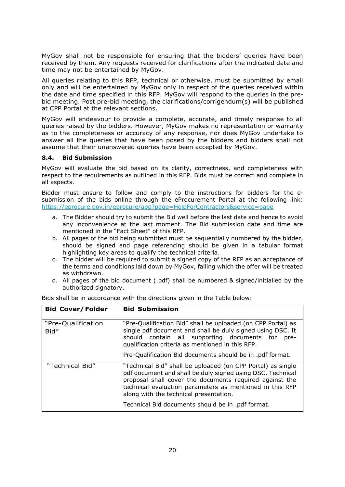MyGov shall not be responsible for ensuring that the bidders' queries have been received by them. Any requests received for clarifications after the indicated date and time may not be entertained by MyGov.

All queries relating to this RFP, technical or otherwise, must be submitted by email only and will be entertained by MyGov only in respect of the queries received within the date and time specified in this RFP. MyGov will respond to the queries in the prebid meeting. Post pre-bid meeting, the clarifications/corrigendum(s) will be published at CPP Portal at the relevant sections.

MyGov will endeavour to provide a complete, accurate, and timely response to all queries raised by the bidders. However, MyGov makes no representation or warranty as to the completeness or accuracy of any response, nor does MyGov undertake to answer all the queries that have been posed by the bidders and bidders shall not assume that their unanswered queries have been accepted by MyGov.

#### <span id="page-19-0"></span>**8.4. Bid Submission**

MyGov will evaluate the bid based on its clarity, correctness, and completeness with respect to the requirements as outlined in this RFP. Bids must be correct and complete in all aspects.

Bidder must ensure to follow and comply to the instructions for bidders for the esubmission of the bids online through the eProcurement Portal at the following link: <https://eprocure.gov.in/eprocure/app?page=HelpForContractors&service=page>

- a. The Bidder should try to submit the Bid well before the last date and hence to avoid any inconvenience at the last moment. The Bid submission date and time are mentioned in the "Fact Sheet" of this RFP.
- b. All pages of the bid being submitted must be sequentially numbered by the bidder, should be signed and page referencing should be given in a tabular format highlighting key areas to qualify the technical criteria.
- c. The bidder will be required to submit a signed copy of the RFP as an acceptance of the terms and conditions laid down by MyGov, failing which the offer will be treated as withdrawn.
- d. All pages of the bid document (.pdf) shall be numbered & signed/initialled by the authorized signatory.

| <b>Bid Cover/Folder</b>    | <b>Bid Submission</b>                                                                                                                                                                                                                                                                      |
|----------------------------|--------------------------------------------------------------------------------------------------------------------------------------------------------------------------------------------------------------------------------------------------------------------------------------------|
| "Pre-Qualification<br>Bid" | "Pre-Qualification Bid" shall be uploaded (on CPP Portal) as<br>single pdf document and shall be duly signed using DSC. It<br>should contain all supporting documents for<br>pre-<br>qualification criteria as mentioned in this RFP.                                                      |
|                            | Pre-Qualification Bid documents should be in .pdf format.                                                                                                                                                                                                                                  |
| "Technical Bid"            | "Technical Bid" shall be uploaded (on CPP Portal) as single<br>pdf document and shall be duly signed using DSC. Technical<br>proposal shall cover the documents required against the<br>technical evaluation parameters as mentioned in this RFP<br>along with the technical presentation. |
|                            | Technical Bid documents should be in .pdf format.                                                                                                                                                                                                                                          |

Bids shall be in accordance with the directions given in the Table below: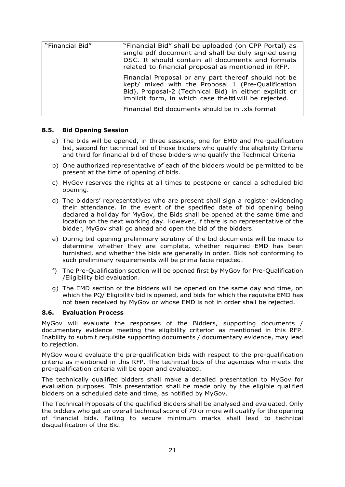| "Financial Bid" | "Financial Bid" shall be uploaded (on CPP Portal) as<br>single pdf document and shall be duly signed using<br>DSC. It should contain all documents and formats<br>related to financial proposal as mentioned in RFP.         |  |
|-----------------|------------------------------------------------------------------------------------------------------------------------------------------------------------------------------------------------------------------------------|--|
|                 | Financial Proposal or any part thereof should not be<br>kept/ mixed with the Proposal 1 (Pre-Qualification<br>Bid), Proposal-2 (Technical Bid) in either explicit or<br>implicit form, in which case thebd will be rejected. |  |
|                 | Financial Bid documents should be in .xls format                                                                                                                                                                             |  |

#### <span id="page-20-0"></span>**8.5. Bid Opening Session**

- a) The bids will be opened, in three sessions, one for EMD and Pre-qualification bid, second for technical bid of those bidders who qualify the eligibility Criteria and third for financial bid of those bidders who qualify the Technical Criteria
- b) One authorized representative of each of the bidders would be permitted to be present at the time of opening of bids.
- c) MyGov reserves the rights at all times to postpone or cancel a scheduled bid opening.
- d) The bidders' representatives who are present shall sign a register evidencing their attendance. In the event of the specified date of bid opening being declared a holiday for MyGov, the Bids shall be opened at the same time and location on the next working day. However, if there is no representative of the bidder, MyGov shall go ahead and open the bid of the bidders.
- e) During bid opening preliminary scrutiny of the bid documents will be made to determine whether they are complete, whether required EMD has been furnished, and whether the bids are generally in order. Bids not conforming to such preliminary requirements will be prima facie rejected.
- f) The Pre-Qualification section will be opened first by MyGov for Pre-Qualification /Eligibility bid evaluation.
- g) The EMD section of the bidders will be opened on the same day and time, on which the PQ/ Eligibility bid is opened, and bids for which the requisite EMD has not been received by MyGov or whose EMD is not in order shall be rejected.

#### <span id="page-20-1"></span>**8.6. Evaluation Process**

MyGov will evaluate the responses of the Bidders, supporting documents / documentary evidence meeting the eligibility criterion as mentioned in this RFP. Inability to submit requisite supporting documents / documentary evidence, may lead to rejection.

MyGov would evaluate the pre-qualification bids with respect to the pre-qualification criteria as mentioned in this RFP. The technical bids of the agencies who meets the pre-qualification criteria will be open and evaluated.

The technically qualified bidders shall make a detailed presentation to MyGov for evaluation purposes. This presentation shall be made only by the eligible qualified bidders on a scheduled date and time, as notified by MyGov.

The Technical Proposals of the qualified Bidders shall be analysed and evaluated. Only the bidders who get an overall technical score of 70 or more will qualify for the opening of financial bids. Failing to secure minimum marks shall lead to technical disqualification of the Bid.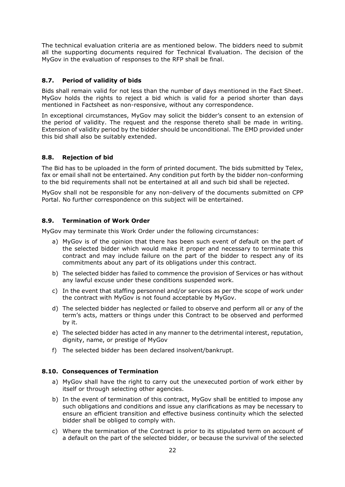The technical evaluation criteria are as mentioned below. The bidders need to submit all the supporting documents required for Technical Evaluation. The decision of the MyGov in the evaluation of responses to the RFP shall be final.

## <span id="page-21-0"></span>**8.7. Period of validity of bids**

Bids shall remain valid for not less than the number of days mentioned in the Fact Sheet. MyGov holds the rights to reject a bid which is valid for a period shorter than days mentioned in Factsheet as non-responsive, without any correspondence.

In exceptional circumstances, MyGov may solicit the bidder's consent to an extension of the period of validity. The request and the response thereto shall be made in writing. Extension of validity period by the bidder should be unconditional. The EMD provided under this bid shall also be suitably extended.

### <span id="page-21-1"></span>**8.8. Rejection of bid**

The Bid has to be uploaded in the form of printed document. The bids submitted by Telex, fax or email shall not be entertained. Any condition put forth by the bidder non-conforming to the bid requirements shall not be entertained at all and such bid shall be rejected.

MyGov shall not be responsible for any non-delivery of the documents submitted on CPP Portal. No further correspondence on this subject will be entertained.

## <span id="page-21-2"></span>**8.9. Termination of Work Order**

MyGov may terminate this Work Order under the following circumstances:

- a) MyGov is of the opinion that there has been such event of default on the part of the selected bidder which would make it proper and necessary to terminate this contract and may include failure on the part of the bidder to respect any of its commitments about any part of its obligations under this contract.
- b) The selected bidder has failed to commence the provision of Services or has without any lawful excuse under these conditions suspended work.
- c) In the event that staffing personnel and/or services as per the scope of work under the contract with MyGov is not found acceptable by MyGov.
- d) The selected bidder has neglected or failed to observe and perform all or any of the term's acts, matters or things under this Contract to be observed and performed by it.
- e) The selected bidder has acted in any manner to the detrimental interest, reputation, dignity, name, or prestige of MyGov
- f) The selected bidder has been declared insolvent/bankrupt.

#### <span id="page-21-3"></span>**8.10. Consequences of Termination**

- a) MyGov shall have the right to carry out the unexecuted portion of work either by itself or through selecting other agencies.
- b) In the event of termination of this contract, MyGov shall be entitled to impose any such obligations and conditions and issue any clarifications as may be necessary to ensure an efficient transition and effective business continuity which the selected bidder shall be obliged to comply with.
- c) Where the termination of the Contract is prior to its stipulated term on account of a default on the part of the selected bidder, or because the survival of the selected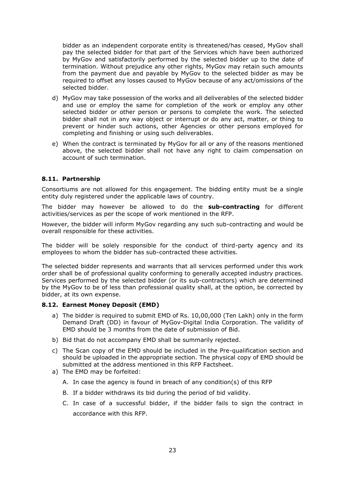bidder as an independent corporate entity is threatened/has ceased, MyGov shall pay the selected bidder for that part of the Services which have been authorized by MyGov and satisfactorily performed by the selected bidder up to the date of termination. Without prejudice any other rights, MyGov may retain such amounts from the payment due and payable by MyGov to the selected bidder as may be required to offset any losses caused to MyGov because of any act/omissions of the selected bidder.

- d) MyGov may take possession of the works and all deliverables of the selected bidder and use or employ the same for completion of the work or employ any other selected bidder or other person or persons to complete the work. The selected bidder shall not in any way object or interrupt or do any act, matter, or thing to prevent or hinder such actions, other Agencies or other persons employed for completing and finishing or using such deliverables.
- e) When the contract is terminated by MyGov for all or any of the reasons mentioned above, the selected bidder shall not have any right to claim compensation on account of such termination.

#### <span id="page-22-0"></span>**8.11. Partnership**

Consortiums are not allowed for this engagement. The bidding entity must be a single entity duly registered under the applicable laws of country.

The bidder may however be allowed to do the **sub-contracting** for different activities/services as per the scope of work mentioned in the RFP.

However, the bidder will inform MyGov regarding any such sub-contracting and would be overall responsible for these activities.

The bidder will be solely responsible for the conduct of third-party agency and its employees to whom the bidder has sub-contracted these activities.

The selected bidder represents and warrants that all services performed under this work order shall be of professional quality conforming to generally accepted industry practices. Services performed by the selected bidder (or its sub-contractors) which are determined by the MyGov to be of less than professional quality shall, at the option, be corrected by bidder, at its own expense.

#### <span id="page-22-1"></span>**8.12. Earnest Money Deposit (EMD)**

- a) The bidder is required to submit EMD of Rs. 10,00,000 (Ten Lakh) only in the form Demand Draft (DD) in favour of MyGov-Digital India Corporation. The validity of EMD should be 3 months from the date of submission of Bid.
- b) Bid that do not accompany EMD shall be summarily rejected.
- c) The Scan copy of the EMD should be included in the Pre-qualification section and should be uploaded in the appropriate section. The physical copy of EMD should be submitted at the address mentioned in this RFP Factsheet.
- a) The EMD may be forfeited:
	- A. In case the agency is found in breach of any condition(s) of this RFP
	- B. If a bidder withdraws its bid during the period of bid validity.
	- C. In case of a successful bidder, if the bidder fails to sign the contract in accordance with this RFP.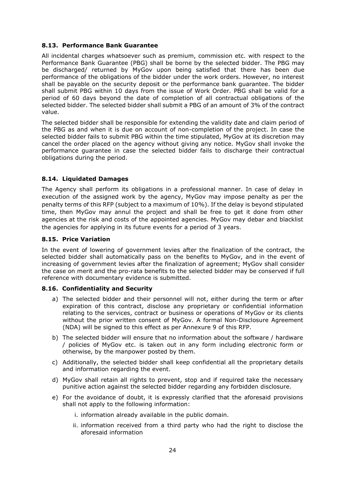#### <span id="page-23-0"></span>**8.13. Performance Bank Guarantee**

All incidental charges whatsoever such as premium, commission etc. with respect to the Performance Bank Guarantee (PBG) shall be borne by the selected bidder. The PBG may be discharged/ returned by MyGov upon being satisfied that there has been due performance of the obligations of the bidder under the work orders. However, no interest shall be payable on the security deposit or the performance bank guarantee. The bidder shall submit PBG within 10 days from the issue of Work Order. PBG shall be valid for a period of 60 days beyond the date of completion of all contractual obligations of the selected bidder. The selected bidder shall submit a PBG of an amount of 3% of the contract value.

The selected bidder shall be responsible for extending the validity date and claim period of the PBG as and when it is due on account of non-completion of the project. In case the selected bidder fails to submit PBG within the time stipulated, MyGov at its discretion may cancel the order placed on the agency without giving any notice. MyGov shall invoke the performance guarantee in case the selected bidder fails to discharge their contractual obligations during the period.

### <span id="page-23-1"></span>**8.14. Liquidated Damages**

The Agency shall perform its obligations in a professional manner. In case of delay in execution of the assigned work by the agency, MyGov may impose penalty as per the penalty terms of this RFP (subject to a maximum of 10%). If the delay is beyond stipulated time, then MyGov may annul the project and shall be free to get it done from other agencies at the risk and costs of the appointed agencies. MyGov may debar and blacklist the agencies for applying in its future events for a period of 3 years.

#### <span id="page-23-2"></span>**8.15. Price Variation**

In the event of lowering of government levies after the finalization of the contract, the selected bidder shall automatically pass on the benefits to MyGov, and in the event of increasing of government levies after the finalization of agreement; MyGov shall consider the case on merit and the pro-rata benefits to the selected bidder may be conserved if full reference with documentary evidence is submitted.

#### <span id="page-23-3"></span>**8.16. Confidentiality and Security**

- a) The selected bidder and their personnel will not, either during the term or after expiration of this contract, disclose any proprietary or confidential information relating to the services, contract or business or operations of MyGov or its clients without the prior written consent of MyGov. A formal Non-Disclosure Agreement (NDA) will be signed to this effect as per Annexure 9 of this RFP.
- b) The selected bidder will ensure that no information about the software / hardware / policies of MyGov etc. is taken out in any form including electronic form or otherwise, by the manpower posted by them.
- c) Additionally, the selected bidder shall keep confidential all the proprietary details and information regarding the event.
- d) MyGov shall retain all rights to prevent, stop and if required take the necessary punitive action against the selected bidder regarding any forbidden disclosure.
- e) For the avoidance of doubt, it is expressly clarified that the aforesaid provisions shall not apply to the following information:
	- i. information already available in the public domain.
	- ii. information received from a third party who had the right to disclose the aforesaid information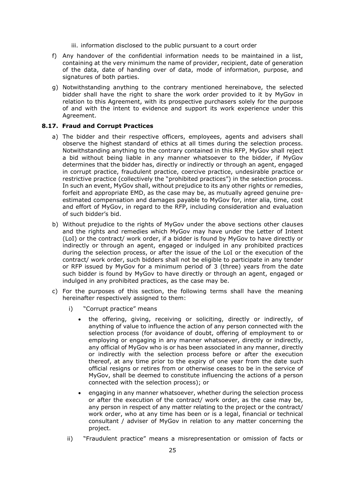iii. information disclosed to the public pursuant to a court order

- f) Any handover of the confidential information needs to be maintained in a list, containing at the very minimum the name of provider, recipient, date of generation of the data, date of handing over of data, mode of information, purpose, and signatures of both parties.
- g) Notwithstanding anything to the contrary mentioned hereinabove, the selected bidder shall have the right to share the work order provided to it by MyGov in relation to this Agreement, with its prospective purchasers solely for the purpose of and with the intent to evidence and support its work experience under this Agreement.

#### <span id="page-24-0"></span>**8.17. Fraud and Corrupt Practices**

- a) The bidder and their respective officers, employees, agents and advisers shall observe the highest standard of ethics at all times during the selection process. Notwithstanding anything to the contrary contained in this RFP, MyGov shall reject a bid without being liable in any manner whatsoever to the bidder, if MyGov determines that the bidder has, directly or indirectly or through an agent, engaged in corrupt practice, fraudulent practice, coercive practice, undesirable practice or restrictive practice (collectively the "prohibited practices") in the selection process. In such an event, MyGov shall, without prejudice to its any other rights or remedies, forfeit and appropriate EMD, as the case may be, as mutually agreed genuine preestimated compensation and damages payable to MyGov for, inter alia, time, cost and effort of MyGov, in regard to the RFP, including consideration and evaluation of such bidder's bid.
- b) Without prejudice to the rights of MyGov under the above sections other clauses and the rights and remedies which MyGov may have under the Letter of Intent (LoI) or the contract/ work order, if a bidder is found by MyGov to have directly or indirectly or through an agent, engaged or indulged in any prohibited practices during the selection process, or after the issue of the LoI or the execution of the contract/ work order, such bidders shall not be eligible to participate in any tender or RFP issued by MyGov for a minimum period of 3 (three) years from the date such bidder is found by MyGov to have directly or through an agent, engaged or indulged in any prohibited practices, as the case may be.
- c) For the purposes of this section, the following terms shall have the meaning hereinafter respectively assigned to them:
	- i) "Corrupt practice" means
		- the offering, giving, receiving or soliciting, directly or indirectly, of anything of value to influence the action of any person connected with the selection process (for avoidance of doubt, offering of employment to or employing or engaging in any manner whatsoever, directly or indirectly, any official of MyGov who is or has been associated in any manner, directly or indirectly with the selection process before or after the execution thereof, at any time prior to the expiry of one year from the date such official resigns or retires from or otherwise ceases to be in the service of MyGov, shall be deemed to constitute influencing the actions of a person connected with the selection process); or
		- engaging in any manner whatsoever, whether during the selection process or after the execution of the contract/ work order, as the case may be, any person in respect of any matter relating to the project or the contract/ work order, who at any time has been or is a legal, financial or technical consultant / adviser of MyGov in relation to any matter concerning the project.
	- ii) "Fraudulent practice" means a misrepresentation or omission of facts or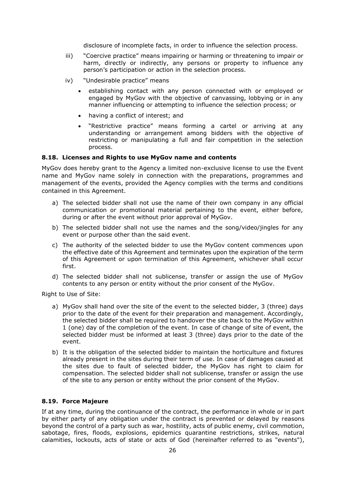disclosure of incomplete facts, in order to influence the selection process.

- iii) "Coercive practice" means impairing or harming or threatening to impair or harm, directly or indirectly, any persons or property to influence any person's participation or action in the selection process.
- iv) "Undesirable practice" means
	- establishing contact with any person connected with or employed or engaged by MyGov with the objective of canvassing, lobbying or in any manner influencing or attempting to influence the selection process; or
	- having a conflict of interest; and
	- "Restrictive practice" means forming a cartel or arriving at any understanding or arrangement among bidders with the objective of restricting or manipulating a full and fair competition in the selection process.

#### <span id="page-25-0"></span>**8.18. Licenses and Rights to use MyGov name and contents**

MyGov does hereby grant to the Agency a limited non-exclusive license to use the Event name and MyGov name solely in connection with the preparations, programmes and management of the events, provided the Agency complies with the terms and conditions contained in this Agreement.

- a) The selected bidder shall not use the name of their own company in any official communication or promotional material pertaining to the event, either before, during or after the event without prior approval of MyGov.
- b) The selected bidder shall not use the names and the song/video/jingles for any event or purpose other than the said event.
- c) The authority of the selected bidder to use the MyGov content commences upon the effective date of this Agreement and terminates upon the expiration of the term of this Agreement or upon termination of this Agreement, whichever shall occur first.
- d) The selected bidder shall not sublicense, transfer or assign the use of MyGov contents to any person or entity without the prior consent of the MyGov.

Right to Use of Site:

- a) MyGov shall hand over the site of the event to the selected bidder, 3 (three) days prior to the date of the event for their preparation and management. Accordingly, the selected bidder shall be required to handover the site back to the MyGov within 1 (one) day of the completion of the event. In case of change of site of event, the selected bidder must be informed at least 3 (three) days prior to the date of the event.
- b) It is the obligation of the selected bidder to maintain the horticulture and fixtures already present in the sites during their term of use. In case of damages caused at the sites due to fault of selected bidder, the MyGov has right to claim for compensation. The selected bidder shall not sublicense, transfer or assign the use of the site to any person or entity without the prior consent of the MyGov.

#### <span id="page-25-1"></span>**8.19. Force Majeure**

If at any time, during the continuance of the contract, the performance in whole or in part by either party of any obligation under the contract is prevented or delayed by reasons beyond the control of a party such as war, hostility, acts of public enemy, civil commotion, sabotage, fires, floods, explosions, epidemics quarantine restrictions, strikes, natural calamities, lockouts, acts of state or acts of God (hereinafter referred to as "events"),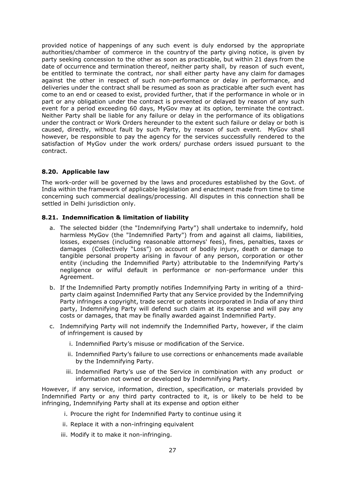provided notice of happenings of any such event is duly endorsed by the appropriate authorities/chamber of commerce in the country of the party giving notice, is given by party seeking concession to the other as soon as practicable, but within 21 days from the date of occurrence and termination thereof, neither party shall, by reason of such event, be entitled to terminate the contract, nor shall either party have any claim for damages against the other in respect of such non-performance or delay in performance, and deliveries under the contract shall be resumed as soon as practicable after such event has come to an end or ceased to exist, provided further, that if the performance in whole or in part or any obligation under the contract is prevented or delayed by reason of any such event for a period exceeding 60 days, MyGov may at its option, terminate the contract. Neither Party shall be liable for any failure or delay in the performance of its obligations under the contract or Work Orders hereunder to the extent such failure or delay or both is caused, directly, without fault by such Party, by reason of such event. MyGov shall however, be responsible to pay the agency for the services successfully rendered to the satisfaction of MyGov under the work orders/ purchase orders issued pursuant to the contract.

### <span id="page-26-0"></span>**8.20. Applicable law**

The work-order will be governed by the laws and procedures established by the Govt. of India within the framework of applicable legislation and enactment made from time to time concerning such commercial dealings/processing. All disputes in this connection shall be settled in Delhi jurisdiction only.

#### <span id="page-26-1"></span>**8.21. Indemnification & limitation of liability**

- a. The selected bidder (the "Indemnifying Party") shall undertake to indemnify, hold harmless MyGov (the "Indemnified Party") from and against all claims, liabilities, losses, expenses (including reasonable attorneys' fees), fines, penalties, taxes or damages (Collectively "Loss") on account of bodily injury, death or damage to tangible personal property arising in favour of any person, corporation or other entity (including the Indemnified Party) attributable to the Indemnifying Party's negligence or wilful default in performance or non-performance under this Agreement.
- b. If the Indemnified Party promptly notifies Indemnifying Party in writing of a thirdparty claim against Indemnified Party that any Service provided by the Indemnifying Party infringes a copyright, trade secret or patents incorporated in India of any third party, Indemnifying Party will defend such claim at its expense and will pay any costs or damages, that may be finally awarded against Indemnified Party.
- c. Indemnifying Party will not indemnify the Indemnified Party, however, if the claim of infringement is caused by
	- i. Indemnified Party's misuse or modification of the Service.
	- ii. Indemnified Party's failure to use corrections or enhancements made available by the Indemnifying Party.
	- iii. Indemnified Party's use of the Service in combination with any product or information not owned or developed by Indemnifying Party.

However, if any service, information, direction, specification, or materials provided by Indemnified Party or any third party contracted to it, is or likely to be held to be infringing, Indemnifying Party shall at its expense and option either

- i. Procure the right for Indemnified Party to continue using it
- ii. Replace it with a non-infringing equivalent
- iii. Modify it to make it non-infringing.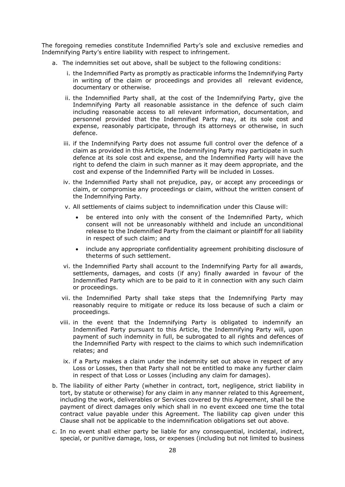The foregoing remedies constitute Indemnified Party's sole and exclusive remedies and Indemnifying Party's entire liability with respect to infringement.

- a. The indemnities set out above, shall be subject to the following conditions:
	- i. the Indemnified Party as promptly as practicable informs the Indemnifying Party in writing of the claim or proceedings and provides all relevant evidence, documentary or otherwise.
	- ii. the Indemnified Party shall, at the cost of the Indemnifying Party, give the Indemnifying Party all reasonable assistance in the defence of such claim including reasonable access to all relevant information, documentation, and personnel provided that the Indemnified Party may, at its sole cost and expense, reasonably participate, through its attorneys or otherwise, in such defence.
	- iii. if the Indemnifying Party does not assume full control over the defence of a claim as provided in this Article, the Indemnifying Party may participate in such defence at its sole cost and expense, and the Indemnified Party will have the right to defend the claim in such manner as it may deem appropriate, and the cost and expense of the Indemnified Party will be included in Losses.
	- iv. the Indemnified Party shall not prejudice, pay, or accept any proceedings or claim, or compromise any proceedings or claim, without the written consent of the Indemnifying Party.
	- v. All settlements of claims subject to indemnification under this Clause will:
		- be entered into only with the consent of the Indemnified Party, which consent will not be unreasonably withheld and include an unconditional release to the Indemnified Party from the claimant or plaintiff for all liability in respect of such claim; and
		- include any appropriate confidentiality agreement prohibiting disclosure of theterms of such settlement.
	- vi. the Indemnified Party shall account to the Indemnifying Party for all awards, settlements, damages, and costs (if any) finally awarded in favour of the Indemnified Party which are to be paid to it in connection with any such claim or proceedings.
	- vii. the Indemnified Party shall take steps that the Indemnifying Party may reasonably require to mitigate or reduce its loss because of such a claim or proceedings.
	- viii. in the event that the Indemnifying Party is obligated to indemnify an Indemnified Party pursuant to this Article, the Indemnifying Party will, upon payment of such indemnity in full, be subrogated to all rights and defences of the Indemnified Party with respect to the claims to which such indemnification relates; and
	- ix. if a Party makes a claim under the indemnity set out above in respect of any Loss or Losses, then that Party shall not be entitled to make any further claim in respect of that Loss or Losses (including any claim for damages).
- b. The liability of either Party (whether in contract, tort, negligence, strict liability in tort, by statute or otherwise) for any claim in any manner related to this Agreement, including the work, deliverables or Services covered by this Agreement, shall be the payment of direct damages only which shall in no event exceed one time the total contract value payable under this Agreement. The liability cap given under this Clause shall not be applicable to the indemnification obligations set out above.
- c. In no event shall either party be liable for any consequential, incidental, indirect, special, or punitive damage, loss, or expenses (including but not limited to business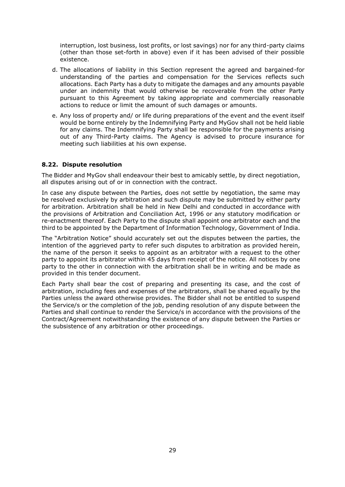interruption, lost business, lost profits, or lost savings) nor for any third-party claims (other than those set-forth in above) even if it has been advised of their possible existence.

- d. The allocations of liability in this Section represent the agreed and bargained-for understanding of the parties and compensation for the Services reflects such allocations. Each Party has a duty to mitigate the damages and any amounts payable under an indemnity that would otherwise be recoverable from the other Party pursuant to this Agreement by taking appropriate and commercially reasonable actions to reduce or limit the amount of such damages or amounts.
- e. Any loss of property and/ or life during preparations of the event and the event itself would be borne entirely by the Indemnifying Party and MyGov shall not be held liable for any claims. The Indemnifying Party shall be responsible for the payments arising out of any Third-Party claims. The Agency is advised to procure insurance for meeting such liabilities at his own expense.

#### <span id="page-28-0"></span>**8.22. Dispute resolution**

The Bidder and MyGov shall endeavour their best to amicably settle, by direct negotiation, all disputes arising out of or in connection with the contract.

In case any dispute between the Parties, does not settle by negotiation, the same may be resolved exclusively by arbitration and such dispute may be submitted by either party for arbitration. Arbitration shall be held in New Delhi and conducted in accordance with the provisions of Arbitration and Conciliation Act, 1996 or any statutory modification or re-enactment thereof. Each Party to the dispute shall appoint one arbitrator each and the third to be appointed by the Department of Information Technology, Government of India.

The "Arbitration Notice" should accurately set out the disputes between the parties, the intention of the aggrieved party to refer such disputes to arbitration as provided herein, the name of the person it seeks to appoint as an arbitrator with a request to the other party to appoint its arbitrator within 45 days from receipt of the notice. All notices by one party to the other in connection with the arbitration shall be in writing and be made as provided in this tender document.

Each Party shall bear the cost of preparing and presenting its case, and the cost of arbitration, including fees and expenses of the arbitrators, shall be shared equally by the Parties unless the award otherwise provides. The Bidder shall not be entitled to suspend the Service/s or the completion of the job, pending resolution of any dispute between the Parties and shall continue to render the Service/s in accordance with the provisions of the Contract/Agreement notwithstanding the existence of any dispute between the Parties or the subsistence of any arbitration or other proceedings.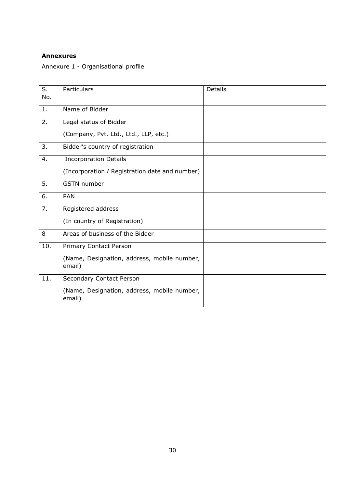# <span id="page-29-0"></span>**Annexures**

<span id="page-29-1"></span>Annexure 1 - Organisational profile

| S.<br>No. | Particulars                                           | <b>Details</b> |
|-----------|-------------------------------------------------------|----------------|
| 1.        | Name of Bidder                                        |                |
| 2.        | Legal status of Bidder                                |                |
|           | (Company, Pvt. Ltd., Ltd., LLP, etc.)                 |                |
| 3.        | Bidder's country of registration                      |                |
| 4.        | <b>Incorporation Details</b>                          |                |
|           | (Incorporation / Registration date and number)        |                |
| 5.        | <b>GSTN</b> number                                    |                |
| 6.        | <b>PAN</b>                                            |                |
| 7.        | Registered address                                    |                |
|           | (In country of Registration)                          |                |
| 8         | Areas of business of the Bidder                       |                |
| 10.       | Primary Contact Person                                |                |
|           | (Name, Designation, address, mobile number,<br>email) |                |
| 11.       | Secondary Contact Person                              |                |
|           | (Name, Designation, address, mobile number,<br>email) |                |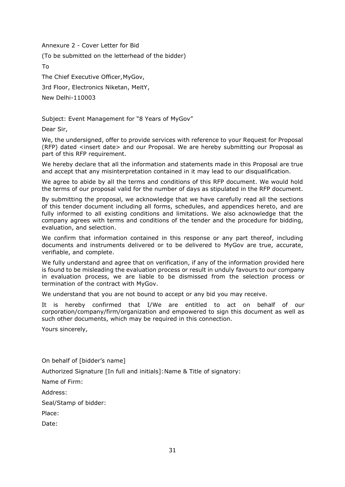<span id="page-30-0"></span>Annexure 2 - Cover Letter for Bid

(To be submitted on the letterhead of the bidder)

To

The Chief Executive Officer,MyGov,

3rd Floor, Electronics Niketan, MeitY,

New Delhi-110003

Subject: Event Management for "8 Years of MyGov"

Dear Sir,

We, the undersigned, offer to provide services with reference to your Request for Proposal (RFP) dated <insert date> and our Proposal. We are hereby submitting our Proposal as part of this RFP requirement.

We hereby declare that all the information and statements made in this Proposal are true and accept that any misinterpretation contained in it may lead to our disqualification.

We agree to abide by all the terms and conditions of this RFP document. We would hold the terms of our proposal valid for the number of days as stipulated in the RFP document.

By submitting the proposal, we acknowledge that we have carefully read all the sections of this tender document including all forms, schedules, and appendices hereto, and are fully informed to all existing conditions and limitations. We also acknowledge that the company agrees with terms and conditions of the tender and the procedure for bidding, evaluation, and selection.

We confirm that information contained in this response or any part thereof, including documents and instruments delivered or to be delivered to MyGov are true, accurate, verifiable, and complete.

We fully understand and agree that on verification, if any of the information provided here is found to be misleading the evaluation process or result in unduly favours to our company in evaluation process, we are liable to be dismissed from the selection process or termination of the contract with MyGov.

We understand that you are not bound to accept or any bid you may receive.

It is hereby confirmed that I/We are entitled to act on behalf of our corporation/company/firm/organization and empowered to sign this document as well as such other documents, which may be required in this connection.

Yours sincerely,

On behalf of [bidder's name]

Authorized Signature [In full and initials]: Name & Title of signatory:

Name of Firm:

Address:

Seal/Stamp of bidder:

Place:

Date: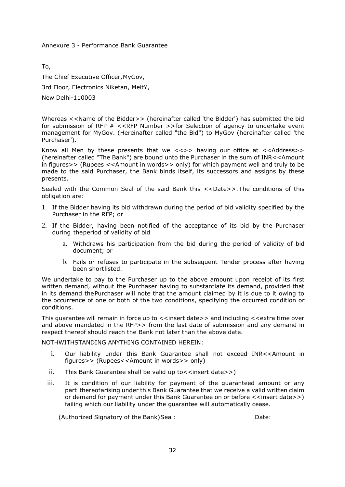<span id="page-31-0"></span>Annexure 3 - Performance Bank Guarantee

To,

The Chief Executive Officer,MyGov,

3rd Floor, Electronics Niketan, MeitY,

New Delhi-110003

Whereas <<Name of the Bidder>> (hereinafter called 'the Bidder') has submitted the bid for submission of RFP # <<RFP Number >>for Selection of agency to undertake event management for MyGov. (Hereinafter called "the Bid") to MyGov (hereinafter called 'the Purchaser').

Know all Men by these presents that we  $\langle \langle 2 \rangle$  having our office at  $\langle \langle 2 \rangle$  Address>> (hereinafter called "The Bank") are bound unto the Purchaser in the sum of INR<<Amount in figures>> (Rupees <<Amount in words>> only) for which payment well and truly to be made to the said Purchaser, the Bank binds itself, its successors and assigns by these presents.

Sealed with the Common Seal of the said Bank this <<Date>>.The conditions of this obligation are:

- 1. If the Bidder having its bid withdrawn during the period of bid validity specified by the Purchaser in the RFP; or
- 2. If the Bidder, having been notified of the acceptance of its bid by the Purchaser during theperiod of validity of bid
	- a. Withdraws his participation from the bid during the period of validity of bid document; or
	- b. Fails or refuses to participate in the subsequent Tender process after having been shortlisted.

We undertake to pay to the Purchaser up to the above amount upon receipt of its first written demand, without the Purchaser having to substantiate its demand, provided that in its demand thePurchaser will note that the amount claimed by it is due to it owing to the occurrence of one or both of the two conditions, specifying the occurred condition or conditions.

This guarantee will remain in force up to  $\lt$  insert date  $\gt$  and including  $\lt$   $\lt$  extra time over and above mandated in the RFP>> from the last date of submission and any demand in respect thereof should reach the Bank not later than the above date.

NOTHWITHSTANDING ANYTHING CONTAINED HEREIN:

- i. Our liability under this Bank Guarantee shall not exceed INR<<Amount in figures>> (Rupees<<Amount in words>> only)
- ii. This Bank Guarantee shall be valid up to  $\lt$  insert date  $\gt$ )
- iii. It is condition of our liability for payment of the guaranteed amount or any part thereofarising under this Bank Guarantee that we receive a valid written claim or demand for payment under this Bank Guarantee on or before  $\le$  insert date>>) failing which our liability under the guarantee will automatically cease.

(Authorized Signatory of the Bank)Seal: Date: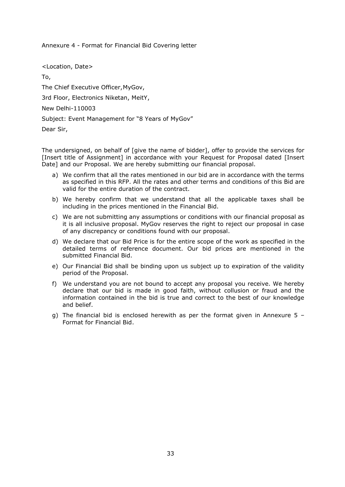<span id="page-32-0"></span>Annexure 4 - Format for Financial Bid Covering letter

<Location, Date> To, The Chief Executive Officer,MyGov, 3rd Floor, Electronics Niketan, MeitY, New Delhi-110003 Subject: Event Management for "8 Years of MyGov" Dear Sir,

The undersigned, on behalf of [give the name of bidder], offer to provide the services for [Insert title of Assignment] in accordance with your Request for Proposal dated [Insert Date] and our Proposal. We are hereby submitting our financial proposal.

- a) We confirm that all the rates mentioned in our bid are in accordance with the terms as specified in this RFP. All the rates and other terms and conditions of this Bid are valid for the entire duration of the contract.
- b) We hereby confirm that we understand that all the applicable taxes shall be including in the prices mentioned in the Financial Bid.
- c) We are not submitting any assumptions or conditions with our financial proposal as it is all inclusive proposal. MyGov reserves the right to reject our proposal in case of any discrepancy or conditions found with our proposal.
- d) We declare that our Bid Price is for the entire scope of the work as specified in the detailed terms of reference document. Our bid prices are mentioned in the submitted Financial Bid.
- e) Our Financial Bid shall be binding upon us subject up to expiration of the validity period of the Proposal.
- f) We understand you are not bound to accept any proposal you receive. We hereby declare that our bid is made in good faith, without collusion or fraud and the information contained in the bid is true and correct to the best of our knowledge and belief.
- g) The financial bid is enclosed herewith as per the format given in Annexure  $5 -$ Format for Financial Bid.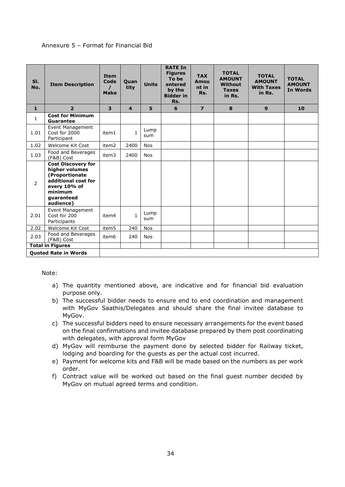## <span id="page-33-0"></span>Annexure 5 – Format for Financial Bid

| SI.<br>No.     | <b>Item Description</b>                                                                                                                    | <b>Item</b><br>Code<br>$\prime$<br><b>Make</b> | Quan<br>tity            | <b>Units</b> | <b>RATE In</b><br><b>Figures</b><br>To be<br>entered<br>by the<br><b>Bidder in</b><br>Rs. | <b>TAX</b><br>Amou<br>nt in<br>Rs. | <b>TOTAL</b><br><b>AMOUNT</b><br><b>Without</b><br><b>Taxes</b><br>in Rs. | <b>TOTAL</b><br><b>AMOUNT</b><br><b>With Taxes</b><br>in Rs. | <b>TOTAL</b><br><b>AMOUNT</b><br><b>In Words</b> |
|----------------|--------------------------------------------------------------------------------------------------------------------------------------------|------------------------------------------------|-------------------------|--------------|-------------------------------------------------------------------------------------------|------------------------------------|---------------------------------------------------------------------------|--------------------------------------------------------------|--------------------------------------------------|
| $\mathbf{1}$   | $\overline{2}$                                                                                                                             | $\overline{\mathbf{3}}$                        | $\overline{\mathbf{4}}$ | 5            | 6                                                                                         | $\overline{ }$                     | 8                                                                         | 9                                                            | 10                                               |
| $\mathbf{1}$   | <b>Cost for Minimum</b><br><b>Guarantee</b>                                                                                                |                                                |                         |              |                                                                                           |                                    |                                                                           |                                                              |                                                  |
| 1.01           | Event Management<br>Cost for 2000<br>Participant                                                                                           | item1                                          | $\mathbf{1}$            | Lump<br>sum  |                                                                                           |                                    |                                                                           |                                                              |                                                  |
| 1.02           | Welcome Kit Cost                                                                                                                           | item <sub>2</sub>                              | 2400                    | <b>Nos</b>   |                                                                                           |                                    |                                                                           |                                                              |                                                  |
| 1.03           | Food and Beverages<br>(F&B) Cost                                                                                                           | item3                                          | 2400                    | <b>Nos</b>   |                                                                                           |                                    |                                                                           |                                                              |                                                  |
| $\overline{2}$ | <b>Cost Discovery for</b><br>higher volumes<br>(Proportionate<br>additional cost for<br>every 10% of<br>minimum<br>quaranteed<br>audience) |                                                |                         |              |                                                                                           |                                    |                                                                           |                                                              |                                                  |
| 2.01           | Event Management<br>Cost for 200<br>Participants                                                                                           | item4                                          | $\mathbf{1}$            | Lump<br>sum  |                                                                                           |                                    |                                                                           |                                                              |                                                  |
| 2.02           | Welcome Kit Cost                                                                                                                           | item5                                          | 240                     | <b>Nos</b>   |                                                                                           |                                    |                                                                           |                                                              |                                                  |
| 2.03           | Food and Beverages<br>(F&B) Cost                                                                                                           | item6                                          | 240                     | <b>Nos</b>   |                                                                                           |                                    |                                                                           |                                                              |                                                  |
|                | <b>Total in Figures</b>                                                                                                                    |                                                |                         |              |                                                                                           |                                    |                                                                           |                                                              |                                                  |
|                | <b>Quoted Rate in Words</b>                                                                                                                |                                                |                         |              |                                                                                           |                                    |                                                                           |                                                              |                                                  |

#### Note:

- a) The quantity mentioned above, are indicative and for financial bid evaluation purpose only.
- b) The successful bidder needs to ensure end to end coordination and management with MyGov Saathis/Delegates and should share the final invitee database to MyGov.
- c) The successful bidders need to ensure necessary arrangements for the event based on the final confirmations and invitee database prepared by them post coordinating with delegates, with approval form MyGov
- d) MyGov will reimburse the payment done by selected bidder for Railway ticket, lodging and boarding for the guests as per the actual cost incurred.
- e) Payment for welcome kits and F&B will be made based on the numbers as per work order.
- f) Contract value will be worked out based on the final guest number decided by MyGov on mutual agreed terms and condition.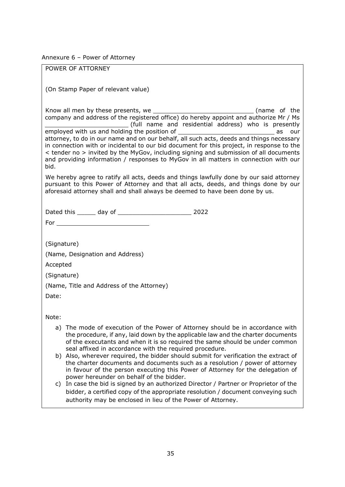<span id="page-34-0"></span>Annexure 6 – Power of Attorney

POWER OF ATTORNEY (On Stamp Paper of relevant value) Know all men by these presents, we see the state of the state of the state of the state of the state of the state of the state of the state of the state of the state of the state of the state of the state of the state of t company and address of the registered office) do hereby appoint and authorize Mr / Ms (full name and residential address) who is presently<br>ng the position of \_\_\_\_\_\_\_ employed with us and holding the position of attorney, to do in our name and on our behalf, all such acts, deeds and things necessary in connection with or incidental to our bid document for this project, in response to the < tender no > invited by the MyGov, including signing and submission of all documents and providing information / responses to MyGov in all matters in connection with our bid. We hereby agree to ratify all acts, deeds and things lawfully done by our said attorney pursuant to this Power of Attorney and that all acts, deeds, and things done by our aforesaid attorney shall and shall always be deemed to have been done by us. Dated this \_\_\_\_\_ day of \_\_\_\_\_\_\_\_\_\_\_\_\_\_\_\_\_\_\_\_ 2022 For (Signature) (Name, Designation and Address) Accepted (Signature) (Name, Title and Address of the Attorney) Date: Note: a) The mode of execution of the Power of Attorney should be in accordance with the procedure, if any, laid down by the applicable law and the charter documents of the executants and when it is so required the same should be under common seal affixed in accordance with the required procedure. b) Also, wherever required, the bidder should submit for verification the extract of the charter documents and documents such as a resolution / power of attorney in favour of the person executing this Power of Attorney for the delegation of power hereunder on behalf of the bidder. c) In case the bid is signed by an authorized Director / Partner or Proprietor of the bidder, a certified copy of the appropriate resolution / document conveying such authority may be enclosed in lieu of the Power of Attorney.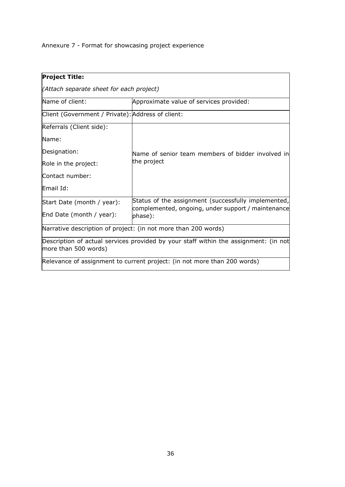<span id="page-35-0"></span>Annexure 7 - Format for showcasing project experience

<span id="page-35-1"></span>

| <b>Project Title:</b>                                                                                        |                                                                                                           |  |  |  |  |  |
|--------------------------------------------------------------------------------------------------------------|-----------------------------------------------------------------------------------------------------------|--|--|--|--|--|
| (Attach separate sheet for each project)                                                                     |                                                                                                           |  |  |  |  |  |
| Name of client:<br>Approximate value of services provided:                                                   |                                                                                                           |  |  |  |  |  |
| Client (Government / Private): Address of client:                                                            |                                                                                                           |  |  |  |  |  |
| Referrals (Client side):                                                                                     |                                                                                                           |  |  |  |  |  |
| Name:                                                                                                        |                                                                                                           |  |  |  |  |  |
| Designation:                                                                                                 | Name of senior team members of bidder involved in                                                         |  |  |  |  |  |
| Role in the project:                                                                                         | the project                                                                                               |  |  |  |  |  |
| Contact number:                                                                                              |                                                                                                           |  |  |  |  |  |
| Email Id:                                                                                                    |                                                                                                           |  |  |  |  |  |
| Start Date (month / year):                                                                                   | Status of the assignment (successfully implemented,<br>complemented, ongoing, under support / maintenance |  |  |  |  |  |
| End Date (month / year):                                                                                     | phase):                                                                                                   |  |  |  |  |  |
|                                                                                                              | Narrative description of project: (in not more than 200 words)                                            |  |  |  |  |  |
| Description of actual services provided by your staff within the assignment: (in not<br>more than 500 words) |                                                                                                           |  |  |  |  |  |
| Relevance of assignment to current project: (in not more than 200 words)                                     |                                                                                                           |  |  |  |  |  |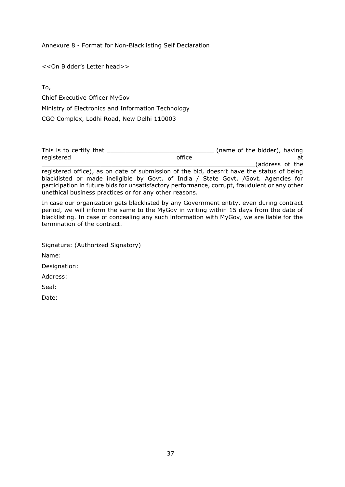Annexure 8 - Format for Non-Blacklisting Self Declaration

<<On Bidder's Letter head>>

To,

Chief Executive Officer MyGov

Ministry of Electronics and Information Technology

CGO Complex, Lodhi Road, New Delhi 110003

This is to certify that \_\_\_\_\_\_\_\_\_\_\_\_\_\_\_\_\_\_\_\_\_\_\_\_\_\_\_\_\_ (name of the bidder), having registered at the control office the control of the control of the control of the control of the control of the control of the control of the control of the control of the control of the control of the control of the contr (address of the

registered office), as on date of submission of the bid, doesn't have the status of being blacklisted or made ineligible by Govt. of India / State Govt. /Govt. Agencies for participation in future bids for unsatisfactory performance, corrupt, fraudulent or any other unethical business practices or for any other reasons.

In case our organization gets blacklisted by any Government entity, even during contract period, we will inform the same to the MyGov in writing within 15 days from the date of blacklisting. In case of concealing any such information with MyGov, we are liable for the termination of the contract.

| Signature: (Authorized Signatory) |
|-----------------------------------|
| Name:                             |
| Designation:                      |
| Address:                          |
| Seal:                             |
| Date:                             |
|                                   |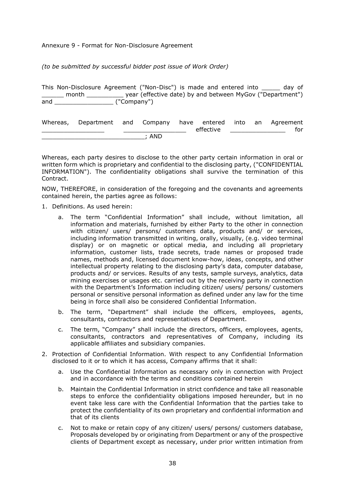<span id="page-37-0"></span>Annexure 9 - Format for Non-Disclosure Agreement

*(to be submitted by successful bidder post issue of Work Order)*

This Non-Disclosure Agreement ("Non-Disc") is made and entered into \_\_\_\_\_ day of \_\_\_\_\_\_ month \_\_\_\_\_\_\_\_\_\_ year (effective date) by and between MyGov ("Department") and  $('Compar'')$ 

| Whereas, Department and Company have entered into an Agreement |       |           |  |     |
|----------------------------------------------------------------|-------|-----------|--|-----|
|                                                                |       | effective |  | for |
|                                                                | : AND |           |  |     |

Whereas, each party desires to disclose to the other party certain information in oral or written form which is proprietary and confidential to the disclosing party, ("CONFIDENTIAL INFORMATION"). The confidentiality obligations shall survive the termination of this Contract.

NOW, THEREFORE, in consideration of the foregoing and the covenants and agreements contained herein, the parties agree as follows:

- 1. Definitions. As used herein:
	- a. The term "Confidential Information" shall include, without limitation, all information and materials, furnished by either Party to the other in connection with citizen/ users/ persons/ customers data, products and/ or services, including information transmitted in writing, orally, visually, (e.g. video terminal display) or on magnetic or optical media, and including all proprietary information, customer lists, trade secrets, trade names or proposed trade names, methods and, licensed document know-how, ideas, concepts, and other intellectual property relating to the disclosing party's data, computer database, products and/ or services. Results of any tests, sample surveys, analytics, data mining exercises or usages etc. carried out by the receiving party in connection with the Department's Information including citizen/ users/ persons/ customers personal or sensitive personal information as defined under any law for the time being in force shall also be considered Confidential Information.
	- b. The term, "Department" shall include the officers, employees, agents, consultants, contractors and representatives of Department.
	- c. The term, "Company" shall include the directors, officers, employees, agents, consultants, contractors and representatives of Company, including its applicable affiliates and subsidiary companies.
- 2. Protection of Confidential Information. With respect to any Confidential Information disclosed to it or to which it has access, Company affirms that it shall:
	- a. Use the Confidential Information as necessary only in connection with Project and in accordance with the terms and conditions contained herein
	- b. Maintain the Confidential Information in strict confidence and take all reasonable steps to enforce the confidentiality obligations imposed hereunder, but in no event take less care with the Confidential Information that the parties take to protect the confidentiality of its own proprietary and confidential information and that of its clients
	- c. Not to make or retain copy of any citizen/ users/ persons/ customers database, Proposals developed by or originating from Department or any of the prospective clients of Department except as necessary, under prior written intimation from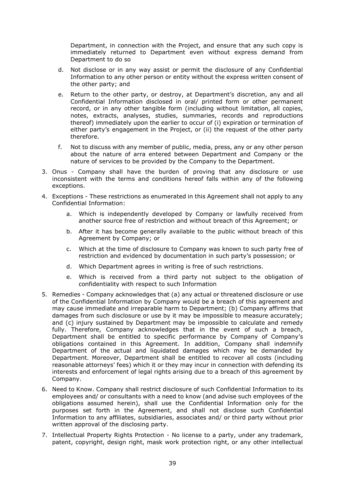Department, in connection with the Project, and ensure that any such copy is immediately returned to Department even without express demand from Department to do so

- d. Not disclose or in any way assist or permit the disclosure of any Confidential Information to any other person or entity without the express written consent of the other party; and
- e. Return to the other party, or destroy, at Department's discretion, any and all Confidential Information disclosed in oral/ printed form or other permanent record, or in any other tangible form (including without limitation, all copies, notes, extracts, analyses, studies, summaries, records and reproductions thereof) immediately upon the earlier to occur of (i) expiration or termination of either party's engagement in the Project, or (ii) the request of the other party therefore.
- f. Not to discuss with any member of public, media, press, any or any other person about the nature of arra entered between Department and Company or the nature of services to be provided by the Company to the Department.
- 3. Onus Company shall have the burden of proving that any disclosure or use inconsistent with the terms and conditions hereof falls within any of the following exceptions.
- 4. Exceptions These restrictions as enumerated in this Agreement shall not apply to any Confidential Information:
	- a. Which is independently developed by Company or lawfully received from another source free of restriction and without breach of this Agreement; or
	- b. After it has become generally available to the public without breach of this Agreement by Company; or
	- c. Which at the time of disclosure to Company was known to such party free of restriction and evidenced by documentation in such party's possession; or
	- d. Which Department agrees in writing is free of such restrictions.
	- e. Which is received from a third party not subject to the obligation of confidentiality with respect to such Information
- 5. Remedies Company acknowledges that (a) any actual or threatened disclosure or use of the Confidential Information by Company would be a breach of this agreement and may cause immediate and irreparable harm to Department; (b) Company affirms that damages from such disclosure or use by it may be impossible to measure accurately; and (c) injury sustained by Department may be impossible to calculate and remedy fully. Therefore, Company acknowledges that in the event of such a breach, Department shall be entitled to specific performance by Company of Company's obligations contained in this Agreement. In addition, Company shall indemnify Department of the actual and liquidated damages which may be demanded by Department. Moreover, Department shall be entitled to recover all costs (including reasonable attorneys' fees) which it or they may incur in connection with defending its interests and enforcement of legal rights arising due to a breach of this agreement by Company.
- 6. Need to Know. Company shall restrict disclosure of such Confidential Information to its employees and/ or consultants with a need to know (and advise such employees of the obligations assumed herein), shall use the Confidential Information only for the purposes set forth in the Agreement, and shall not disclose such Confidential Information to any affiliates, subsidiaries, associates and/ or third party without prior written approval of the disclosing party.
- 7. Intellectual Property Rights Protection No license to a party, under any trademark, patent, copyright, design right, mask work protection right, or any other intellectual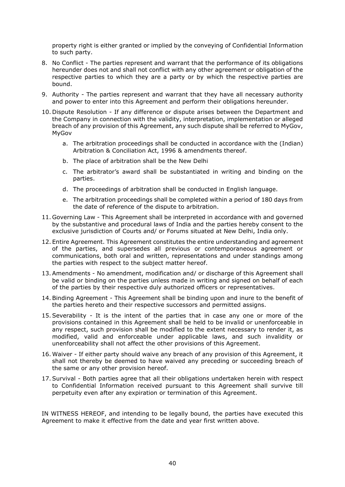property right is either granted or implied by the conveying of Confidential Information to such party.

- 8. No Conflict The parties represent and warrant that the performance of its obligations hereunder does not and shall not conflict with any other agreement or obligation of the respective parties to which they are a party or by which the respective parties are bound.
- 9. Authority The parties represent and warrant that they have all necessary authority and power to enter into this Agreement and perform their obligations hereunder.
- 10. Dispute Resolution If any difference or dispute arises between the Department and the Company in connection with the validity, interpretation, implementation or alleged breach of any provision of this Agreement, any such dispute shall be referred to MyGov, MyGov
	- a. The arbitration proceedings shall be conducted in accordance with the (Indian) Arbitration & Conciliation Act, 1996 & amendments thereof.
	- b. The place of arbitration shall be the New Delhi
	- c. The arbitrator's award shall be substantiated in writing and binding on the parties.
	- d. The proceedings of arbitration shall be conducted in English language.
	- e. The arbitration proceedings shall be completed within a period of 180 days from the date of reference of the dispute to arbitration.
- 11. Governing Law This Agreement shall be interpreted in accordance with and governed by the substantive and procedural laws of India and the parties hereby consent to the exclusive jurisdiction of Courts and/ or Forums situated at New Delhi, India only.
- 12. Entire Agreement. This Agreement constitutes the entire understanding and agreement of the parties, and supersedes all previous or contemporaneous agreement or communications, both oral and written, representations and under standings among the parties with respect to the subject matter hereof.
- 13.Amendments No amendment, modification and/ or discharge of this Agreement shall be valid or binding on the parties unless made in writing and signed on behalf of each of the parties by their respective duly authorized officers or representatives.
- 14.Binding Agreement This Agreement shall be binding upon and inure to the benefit of the parties hereto and their respective successors and permitted assigns.
- 15.Severability It is the intent of the parties that in case any one or more of the provisions contained in this Agreement shall be held to be invalid or unenforceable in any respect, such provision shall be modified to the extent necessary to render it, as modified, valid and enforceable under applicable laws, and such invalidity or unenforceability shall not affect the other provisions of this Agreement.
- 16. Waiver If either party should waive any breach of any provision of this Agreement, it shall not thereby be deemed to have waived any preceding or succeeding breach of the same or any other provision hereof.
- 17.Survival Both parties agree that all their obligations undertaken herein with respect to Confidential Information received pursuant to this Agreement shall survive till perpetuity even after any expiration or termination of this Agreement.

IN WITNESS HEREOF, and intending to be legally bound, the parties have executed this Agreement to make it effective from the date and year first written above.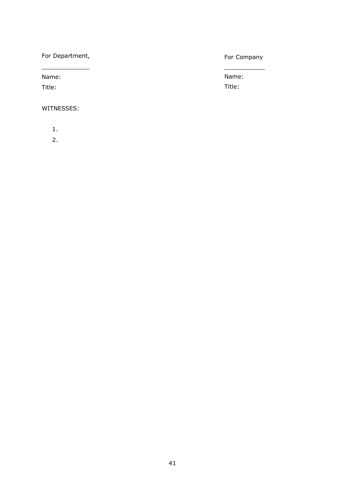For Department,  $\frac{1}{2}$  ,  $\frac{1}{2}$  ,  $\frac{1}{2}$  ,  $\frac{1}{2}$  ,  $\frac{1}{2}$  ,  $\frac{1}{2}$  ,  $\frac{1}{2}$ 

Name:

Title:

WITNESSES:

1.

2.

# For Company  $\frac{1}{2}$

Name: Title: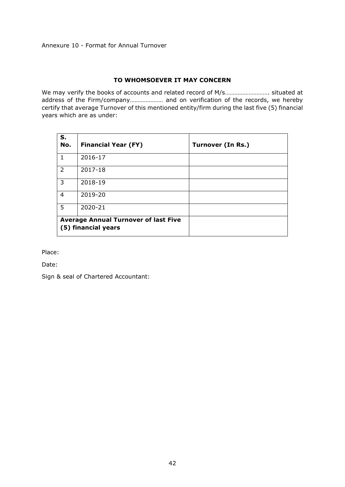# **TO WHOMSOEVER IT MAY CONCERN**

<span id="page-41-0"></span>We may verify the books of accounts and related record of M/s………………………. situated at address of the Firm/company………………… and on verification of the records, we hereby certify that average Turnover of this mentioned entity/firm during the last five (5) financial years which are as under:

| S.<br>No.      | <b>Financial Year (FY)</b>                                         | <b>Turnover (In Rs.)</b> |
|----------------|--------------------------------------------------------------------|--------------------------|
| $\mathbf{1}$   | 2016-17                                                            |                          |
| $\overline{2}$ | 2017-18                                                            |                          |
| 3              | 2018-19                                                            |                          |
| 4              | 2019-20                                                            |                          |
| 5              | 2020-21                                                            |                          |
|                | <b>Average Annual Turnover of last Five</b><br>(5) financial years |                          |

Place:

Date:

Sign & seal of Chartered Accountant: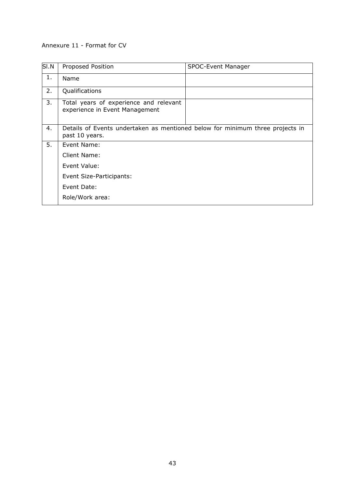## <span id="page-42-0"></span>Annexure 11 - Format for CV

| SI.N | Proposed Position                                                                               | SPOC-Event Manager |
|------|-------------------------------------------------------------------------------------------------|--------------------|
| 1.   | Name                                                                                            |                    |
| 2.   | Qualifications                                                                                  |                    |
| 3.   | Total years of experience and relevant<br>experience in Event Management                        |                    |
| 4.   | Details of Events undertaken as mentioned below for minimum three projects in<br>past 10 years. |                    |
| 5.   | Event Name:                                                                                     |                    |
|      | Client Name:                                                                                    |                    |
|      | Event Value:                                                                                    |                    |
|      | Event Size-Participants:                                                                        |                    |
|      | Event Date:                                                                                     |                    |
|      | Role/Work area:                                                                                 |                    |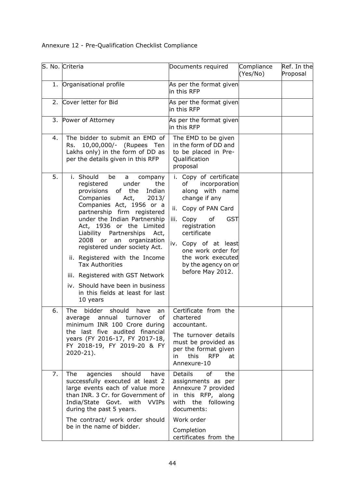<span id="page-43-0"></span>Annexure 12 - Pre-Qualification Checklist Compliance

|    | S. No. Criteria                                                                                                                                                                                                                                                                                                                                                                                                                                                                                                                           | Documents required                                                                                                                                                                                                                                                                                                                                                                                                                                                                                                     | Compliance<br>(Yes/No) | Ref. In the<br>Proposal |
|----|-------------------------------------------------------------------------------------------------------------------------------------------------------------------------------------------------------------------------------------------------------------------------------------------------------------------------------------------------------------------------------------------------------------------------------------------------------------------------------------------------------------------------------------------|------------------------------------------------------------------------------------------------------------------------------------------------------------------------------------------------------------------------------------------------------------------------------------------------------------------------------------------------------------------------------------------------------------------------------------------------------------------------------------------------------------------------|------------------------|-------------------------|
|    | 1. Organisational profile                                                                                                                                                                                                                                                                                                                                                                                                                                                                                                                 | As per the format given<br>in this RFP                                                                                                                                                                                                                                                                                                                                                                                                                                                                                 |                        |                         |
| 2. | Cover letter for Bid                                                                                                                                                                                                                                                                                                                                                                                                                                                                                                                      | As per the format given<br>in this RFP                                                                                                                                                                                                                                                                                                                                                                                                                                                                                 |                        |                         |
|    | 3. Power of Attorney                                                                                                                                                                                                                                                                                                                                                                                                                                                                                                                      | As per the format given<br>in this RFP                                                                                                                                                                                                                                                                                                                                                                                                                                                                                 |                        |                         |
| 4. | The bidder to submit an EMD of<br>10,00,000/- (Rupees Ten<br>Rs.<br>Lakhs only) in the form of DD as<br>per the details given in this RFP                                                                                                                                                                                                                                                                                                                                                                                                 | The EMD to be given<br>in the form of DD and<br>to be placed in Pre-<br>Qualification<br>proposal                                                                                                                                                                                                                                                                                                                                                                                                                      |                        |                         |
| 5. | i. Should<br>be<br>company<br>a<br>the<br>registered<br>under<br>of the<br>Indian<br>provisions<br>Companies<br>Act,<br>2013/<br>Companies Act, 1956 or a<br>partnership firm registered<br>under the Indian Partnership<br>Act, 1936 or the Limited<br>Liability Partnerships<br>Act,<br>2008 or an<br>organization<br>registered under society Act.<br>ii. Registered with the Income<br><b>Tax Authorities</b><br>iii. Registered with GST Network<br>iv. Should have been in business<br>in this fields at least for last<br>10 years | i. Copy of certificate<br>incorporation<br>of the control of the control of the control of the control of the control of the control of the control of th<br>Separate control of the control of the control of the control of the control of the control of the control of t<br>along with name<br>change if any<br>ii. Copy of PAN Card<br><b>GST</b><br>iii. Copy<br>of<br>registration<br>certificate<br>iv. Copy of at least<br>one work order for<br>the work executed<br>by the agency on or<br>before May 2012. |                        |                         |
| 6. | bidder<br>should<br>The<br>have<br>an<br>of<br>turnover<br>annual<br>average<br>minimum INR 100 Crore during<br>the last five audited financial<br>years (FY 2016-17, FY 2017-18,<br>FY 2018-19, FY 2019-20 & FY<br>$2020 - 21$ ).                                                                                                                                                                                                                                                                                                        | Certificate from the<br>chartered<br>accountant.<br>The turnover details<br>must be provided as<br>per the format given<br>this<br>in<br><b>RFP</b><br>at<br>Annexure-10                                                                                                                                                                                                                                                                                                                                               |                        |                         |
| 7. | The<br>should<br>agencies<br>have<br>successfully executed at least 2<br>large events each of value more<br>than INR. 3 Cr. for Government of<br>India/State Govt. with VVIPs<br>during the past 5 years.                                                                                                                                                                                                                                                                                                                                 | <b>Details</b><br>the<br>of<br>assignments as per<br>Annexure 7 provided<br>in this RFP, along<br>with the following<br>documents:                                                                                                                                                                                                                                                                                                                                                                                     |                        |                         |
|    | The contract/ work order should<br>be in the name of bidder.                                                                                                                                                                                                                                                                                                                                                                                                                                                                              | Work order<br>Completion<br>certificates from the                                                                                                                                                                                                                                                                                                                                                                                                                                                                      |                        |                         |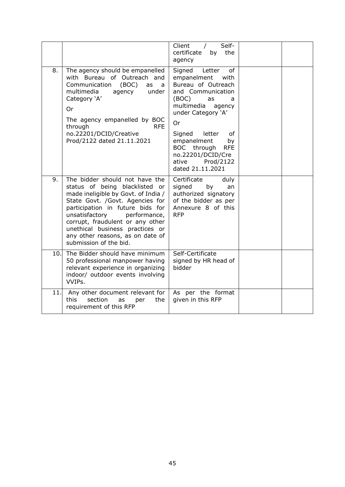|     |                                                                                                                                                                                                                                                                                                                                                       | Client<br>Self-<br>$\prime$<br>certificate<br>by<br>the<br>agency                                                                                                                                                                                                                                                  |  |
|-----|-------------------------------------------------------------------------------------------------------------------------------------------------------------------------------------------------------------------------------------------------------------------------------------------------------------------------------------------------------|--------------------------------------------------------------------------------------------------------------------------------------------------------------------------------------------------------------------------------------------------------------------------------------------------------------------|--|
| 8.  | The agency should be empanelled<br>with Bureau of Outreach and<br>Communication<br>(BOC)<br>as<br>a<br>multimedia<br>agency<br>under<br>Category 'A'<br>0r<br>The agency empanelled by BOC<br>through<br><b>RFE</b><br>no.22201/DCID/Creative<br>Prod/2122 dated 21.11.2021                                                                           | Signed<br>Letter<br>of<br>empanelment<br>with<br>Bureau of Outreach<br>and Communication<br>(BOC)<br>as<br>a<br>multimedia<br>agency<br>under Category 'A'<br><b>Or</b><br>Signed<br>letter<br>of<br>empanelment<br>by<br>BOC through<br><b>RFE</b><br>no.22201/DCID/Cre<br>ative<br>Prod/2122<br>dated 21.11.2021 |  |
| 9.  | The bidder should not have the<br>status of being blacklisted or<br>made ineligible by Govt. of India /<br>State Govt. /Govt. Agencies for<br>participation in future bids for<br>unsatisfactory<br>performance,<br>corrupt, fraudulent or any other<br>unethical business practices or<br>any other reasons, as on date of<br>submission of the bid. | Certificate<br>duly<br>signed<br>by<br>an<br>authorized signatory<br>of the bidder as per<br>Annexure 8 of this<br><b>RFP</b>                                                                                                                                                                                      |  |
| 10. | The Bidder should have minimum<br>50 professional manpower having<br>relevant experience in organizing<br>indoor/ outdoor events involving<br>VVIPs.                                                                                                                                                                                                  | Self-Certificate<br>signed by HR head of<br>bidder                                                                                                                                                                                                                                                                 |  |
| 11. | Any other document relevant for<br>this<br>section<br>the<br>as<br>per<br>requirement of this RFP                                                                                                                                                                                                                                                     | As per the format<br>given in this RFP                                                                                                                                                                                                                                                                             |  |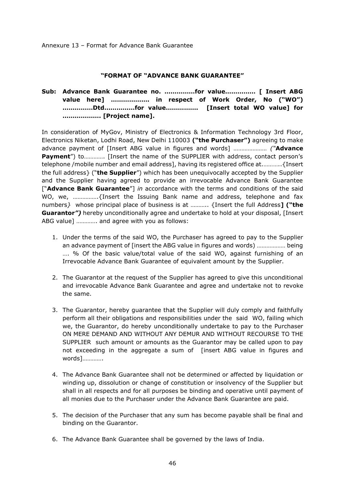Annexure 13 – Format for Advance Bank Guarantee

#### **"FORMAT OF "ADVANCE BANK GUARANTEE"**

# **Sub: Advance Bank Guarantee no. ……………for value…………… [ Insert ABG value here] ………………. in respect of Work Order, No ("WO") ……………Dtd……………for value……………. [Insert total WO value] for ………………. [Project name].**

In consideration of MyGov, Ministry of Electronics & Information Technology 3rd Floor, Electronics Niketan, Lodhi Road, New Delhi 110003 **("the Purchaser")** agreeing to make advance payment of [Insert ABG value in figures and words] ………………… *("***Advance Payment**") to............. [Insert the name of the SUPPLIER with address, contact person's telephone /mobile number and email address], having its registered office at.………..{Insert the full address} ("**the Supplier**") which has been unequivocally accepted by the Supplier and the Supplier having agreed to provide an irrevocable Advance Bank Guarantee ["**Advance Bank Guarantee**"] *in* accordance with the terms and conditions of the said WO, we, …………….{Insert the Issuing Bank name and address, telephone and fax numbers*}* whose principal place of business is at ……….. {Insert the full Address**] ("the Guarantor***")* hereby unconditionally agree and undertake to hold at your disposal, [Insert ABG value] …………. and agree with you as follows:

- 1. Under the terms of the said WO, the Purchaser has agreed to pay to the Supplier an advance payment of [insert the ABG value in figures and words) ……………… being …. % Of the basic value/total value of the said WO, against furnishing of an Irrevocable Advance Bank Guarantee of equivalent amount by the Supplier.
- 2. The Guarantor at the request of the Supplier has agreed to give this unconditional and irrevocable Advance Bank Guarantee and agree and undertake not to revoke the same.
- 3. The Guarantor, hereby guarantee that the Supplier will duly comply and faithfully perform all their obligations and responsibilities under the said WO, failing which we, the Guarantor, do hereby unconditionally undertake to pay to the Purchaser ON MERE DEMAND AND WITHOUT ANY DEMUR AND WITHOUT RECOURSE TO THE SUPPLIER such amount or amounts as the Guarantor may be called upon to pay not exceeding in the aggregate a sum of [insert ABG value in figures and words]………….
- 4. The Advance Bank Guarantee shall not be determined or affected by liquidation or winding up, dissolution or change of constitution or insolvency of the Supplier but shall in all respects and for all purposes be binding and operative until payment of all monies due to the Purchaser under the Advance Bank Guarantee are paid.
- 5. The decision of the Purchaser that any sum has become payable shall be final and binding on the Guarantor.
- 6. The Advance Bank Guarantee shall be governed by the laws of India.